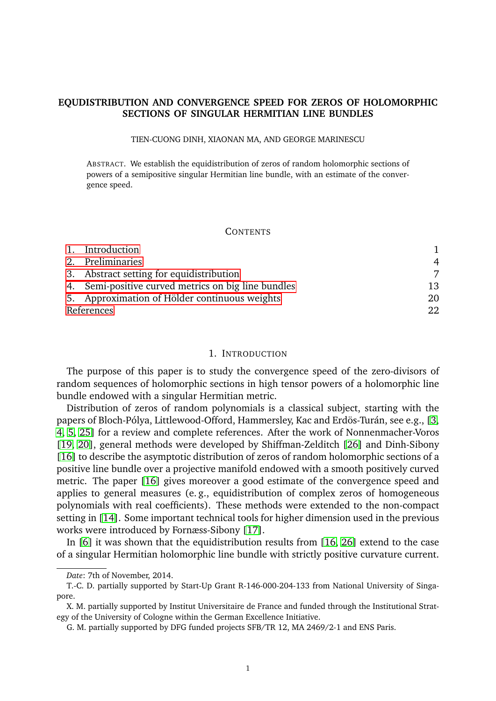# **EQUDISTRIBUTION AND CONVERGENCE SPEED FOR ZEROS OF HOLOMORPHIC SECTIONS OF SINGULAR HERMITIAN LINE BUNDLES**

#### TIEN-CUONG DINH, XIAONAN MA, AND GEORGE MARINESCU

ABSTRACT. We establish the equidistribution of zeros of random holomorphic sections of powers of a semipositive singular Hermitian line bundle, with an estimate of the convergence speed.

#### **CONTENTS**

|            | 1. Introduction                                     |                |
|------------|-----------------------------------------------------|----------------|
|            | 2. Preliminaries                                    | $\overline{4}$ |
|            | 3. Abstract setting for equidistribution            | 7              |
|            | 4. Semi-positive curved metrics on big line bundles | 13             |
|            | 5. Approximation of Hölder continuous weights       | 20             |
| References |                                                     | 22             |

### 1. INTRODUCTION

<span id="page-0-0"></span>The purpose of this paper is to study the convergence speed of the zero-divisors of random sequences of holomorphic sections in high tensor powers of a holomorphic line bundle endowed with a singular Hermitian metric.

Distribution of zeros of random polynomials is a classical subject, starting with the papers of Bloch-Pólya, Littlewood-Offord, Hammersley, Kac and Erdös-Turán, see e.g., [\[3,](#page-21-1) [4,](#page-21-2) [5,](#page-21-3) [25\]](#page-22-0) for a review and complete references. After the work of Nonnenmacher-Voros [\[19,](#page-22-1) [20\]](#page-22-2), general methods were developed by Shiffman-Zelditch [\[26\]](#page-22-3) and Dinh-Sibony [\[16\]](#page-22-4) to describe the asymptotic distribution of zeros of random holomorphic sections of a positive line bundle over a projective manifold endowed with a smooth positively curved metric. The paper [\[16\]](#page-22-4) gives moreover a good estimate of the convergence speed and applies to general measures (e. g., equidistribution of complex zeros of homogeneous polynomials with real coefficients). These methods were extended to the non-compact setting in [\[14\]](#page-22-5). Some important technical tools for higher dimension used in the previous works were introduced by Fornæss-Sibony [\[17\]](#page-22-6).

In [\[6\]](#page-21-4) it was shown that the equidistribution results from [\[16,](#page-22-4) [26\]](#page-22-3) extend to the case of a singular Hermitian holomorphic line bundle with strictly positive curvature current.

*Date*: 7th of November, 2014.

T.-C. D. partially supported by Start-Up Grant R-146-000-204-133 from National University of Singapore.

X. M. partially supported by Institut Universitaire de France and funded through the Institutional Strategy of the University of Cologne within the German Excellence Initiative.

G. M. partially supported by DFG funded projects SFB/TR 12, MA 2469/2-1 and ENS Paris.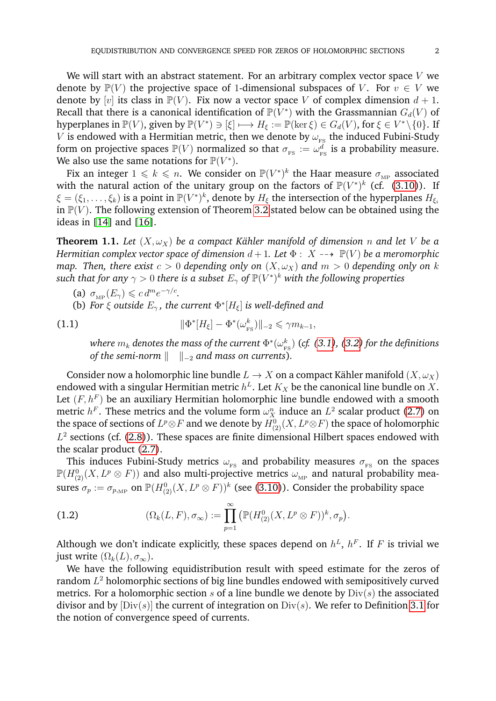We will start with an abstract statement. For an arbitrary complex vector space  $V$  we denote by  $\mathbb{P}(V)$  the projective space of 1-dimensional subspaces of V. For  $v \in V$  we denote by [v] its class in  $\mathbb{P}(V)$ . Fix now a vector space V of complex dimension  $d+1$ . Recall that there is a canonical identification of  $\mathbb P(V^*)$  with the Grassmannian  $G_d(V)$  of hyperplanes in  $\mathbb{P}(V)$ , given by  $\mathbb{P}(V^*) \ni [\xi] \longmapsto H_{\xi} := \mathbb{P}(\ker \xi) \in G_d(V)$ , for  $\xi \in V^* \setminus \{0\}$ . If  $V$  is endowed with a Hermitian metric, then we denote by  $\omega_\text{\tiny FS}$  the induced Fubini-Study form on projective spaces  $\mathbb{P}(V)$  normalized so that  $\sigma_{_{\mathbf{FS}}}:=\omega_{_{\mathbf{F}}}^d$  $\frac{d}{d}_{\mathrm{FS}}$  is a probability measure. We also use the same notations for  $\mathbb{P}(V^*)$ .

Fix an integer  $1\leqslant k\leqslant n.$  We consider on  ${\mathbb P}(V^*)^k$  the Haar measure  $\sigma_{{}_{\rm MP}}$  associated with the natural action of the unitary group on the factors of  $\mathbb{P}(V^*)^k$  (cf. [\(3.10\)](#page-8-0)). If  $\xi = (\xi_1, \dots, \xi_k)$  is a point in  $\mathbb{P}(V^*)^k$ , denote by  $H_{\xi}$  the intersection of the hyperplanes  $H_{\xi_i}$ in  $\mathbb{P}(V)$ . The following extension of Theorem [3.2](#page-7-0) stated below can be obtained using the ideas in [\[14\]](#page-22-5) and [\[16\]](#page-22-4).

<span id="page-1-0"></span>**Theorem 1.1.** Let  $(X, \omega_X)$  be a compact Kähler manifold of dimension *n* and let V be a *Hermitian complex vector space of dimension*  $d+1$ *. Let*  $\Phi$  :  $X \rightarrow \mathbb{P}(V)$  *be a meromorphic map. Then, there exist*  $c > 0$  *depending only on*  $(X, \omega_X)$  *and*  $m > 0$  *depending only on* k such that for any  $\gamma > 0$  there is a subset  $E_\gamma$  of  ${\mathbb P}(V^*)^k$  with the following properties

(a)  $\sigma_{\text{MP}}(E_{\gamma}) \leqslant c d^m e^{-\gamma/c}$ .

(b) *For*  $\xi$  *outside*  $E_{\gamma}$ *, the current*  $\Phi^*[H_{\xi}]$  *is well-defined and* 

(1.1) 
$$
\|\Phi^*[H_{\xi}] - \Phi^*(\omega_{\text{FS}}^k)\|_{-2} \leq \gamma m_{k-1},
$$

where  $m_k$  denotes the mass of the current  $\Phi^*(\omega_{\text{\tiny F}}^k)$ FS ) (*cf. [\(3.1\)](#page-6-1), [\(3.2\)](#page-7-1) for the definitions of the semi-norm*  $\Vert \quad \Vert_{-2}$  *and mass on currents).* 

Consider now a holomorphic line bundle  $L \to X$  on a compact Kähler manifold  $(X, \omega_X)$ endowed with a singular Hermitian metric  $h^L.$  Let  $K_X$  be the canonical line bundle on  $X.$ Let  $(F, h^F)$  be an auxiliary Hermitian holomorphic line bundle endowed with a smooth metric  $h^F$ . These metrics and the volume form  $\omega_X^n$  induce an  $L^2$  scalar product [\(2.7\)](#page-4-0) on the space of sections of  $L^p\otimes F$  and we denote by  $H^0_{(2)}(X,L^p\otimes F)$  the space of holomorphic  $L^2$  sections (cf. [\(2.8\)](#page-4-1)). These spaces are finite dimensional Hilbert spaces endowed with the scalar product [\(2.7\)](#page-4-0).

This induces Fubini-Study metrics  $\omega_{FS}$  and probability measures  $\sigma_{FS}$  on the spaces  $\mathbb{P}(H^0_{(2)}(X,L^p\otimes F))$  and also multi-projective metrics  $\omega_{\textrm{\tiny MP}}$  and natural probability measures  $\sigma_p := \sigma_{p, \text{\tiny MP}}$  on  $\mathbb{P}(H^0_{(2)}(X, L^p \otimes F))^k$  (see [\(3.10\)](#page-8-0)). Consider the probability space

(1.2) 
$$
(\Omega_k(L, F), \sigma_\infty) := \prod_{p=1}^{\infty} \left( \mathbb{P}(H^0_{(2)}(X, L^p \otimes F))^k, \sigma_p \right).
$$

Although we don't indicate explicitly, these spaces depend on  $h^L$ ,  $h^F$ . If F is trivial we just write  $(\Omega_k(L), \sigma_{\infty}).$ 

We have the following equidistribution result with speed estimate for the zeros of random  $L^2$  holomorphic sections of big line bundles endowed with semipositively curved metrics. For a holomorphic section s of a line bundle we denote by  $Div(s)$  the associated divisor and by  $[Div(s)]$  the current of integration on  $Div(s)$ . We refer to Definition [3.1](#page-6-2) for the notion of convergence speed of currents.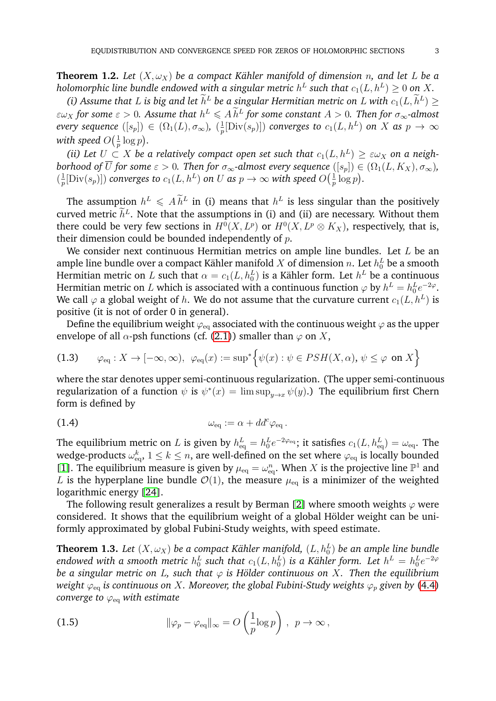<span id="page-2-1"></span>**Theorem 1.2.** Let  $(X, \omega_X)$  be a compact Kähler manifold of dimension *n*, and let L be a holomorphic line bundle endowed with a singular metric  $h^L$  such that  $c_1(L,h^L) \geq 0$  on  $X.$ 

*(i)* Assume that L is big and let  $h^L$  be a singular Hermitian metric on L with  $c_1(L, h^L) \ge$  $\epsilon \infty$ *x* for some  $\epsilon > 0$ . Assume that  $h^L \leqslant A \widetilde{h}^L$  for some constant  $A > 0$ . Then for  $\sigma_{\infty}$ -almost *every sequence*  $([s_p]) \in (\Omega_1(L), \sigma_{\infty})$ ,  $(\frac{1}{n})$  $\frac{1}{p}[\operatorname{Div}(s_p)]$ ) converges to  $c_1(L, h^L)$  on  $X$  as  $p \to \infty$ with speed  $O(\frac{1}{n})$  $\frac{1}{p} \log p$ .

*(ii)* Let  $U \subset X$  be a relatively compact open set such that  $c_1(L, h^L) \geq \varepsilon \omega_X$  on a neigh*borhood of* U for some  $\varepsilon > 0$ . Then for  $\sigma_{\infty}$ -almost every sequence  $([s_p]) \in (\Omega_1(L, K_X), \sigma_{\infty})$ ,  $\left(\frac{1}{n}\right)$  $\frac{1}{p}[\operatorname{Div}(s_p)]$ ) converges to  $c_1(L, h^L)$  on  $U$  as  $p\to\infty$  with speed  $O\big(\frac{1}{p}\big)$  $rac{1}{p} \log p$ .

The assumption  $h^L \leqslant A \widetilde{h}^L$  in (i) means that  $h^L$  is less singular than the positively curved metric  $h^L$ . Note that the assumptions in (i) and (ii) are necessary. Without them there could be very few sections in  $H^0(X, L^p)$  or  $H^0(X, L^p \otimes K_X)$ , respectively, that is, their dimension could be bounded independently of  $p$ .

We consider next continuous Hermitian metrics on ample line bundles. Let  $L$  be an ample line bundle over a compact Kähler manifold  $X$  of dimension  $n.$  Let  $h^L_0$  be a smooth Hermitian metric on  $L$  such that  $\alpha = c_1 (L,h_0^L)$  is a Kähler form. Let  $h^L$  be a continuous Hermitian metric on  $L$  which is associated with a continuous function  $\varphi$  by  $h^L = h_0^L e^{-2\varphi}.$ We call  $\varphi$  a global weight of  $h.$  We do not assume that the curvature current  $c_1(L, h^L)$  is positive (it is not of order 0 in general).

Define the equilibrium weight  $\varphi_{eq}$  associated with the continuous weight  $\varphi$  as the upper envelope of all  $\alpha$ -psh functions (cf. [\(2.1\)](#page-3-1)) smaller than  $\varphi$  on X,

<span id="page-2-3"></span>(1.3) 
$$
\varphi_{\text{eq}} : X \to [-\infty, \infty), \ \varphi_{\text{eq}}(x) := \sup^* \Big\{ \psi(x) : \psi \in PSH(X, \alpha), \psi \leq \varphi \text{ on } X \Big\}
$$

where the star denotes upper semi-continuous regularization. (The upper semi-continuous regularization of a function  $\psi$  is  $\psi^*(x) = \limsup_{y \to x} \psi(y)$ .) The equilibrium first Chern form is defined by

(1.4) 
$$
\omega_{\text{eq}} := \alpha + dd^c \varphi_{\text{eq}}.
$$

The equilibrium metric on  $L$  is given by  $h_{\rm eq}^L = h_0^L e^{-2\varphi_{\rm eq}}$ ; it satisfies  $c_1(L, h_{\rm eq}^L) = \omega_{\rm eq}$ . The wedge-products  $\omega_{\rm eq}^k$ ,  $1\leq k\leq n,$  are well-defined on the set where  $\varphi_{\rm eq}$  is locally bounded [\[1\]](#page-21-5). The equilibrium measure is given by  $\mu_{\text{eq}} = \omega_{\text{eq}}^n$ . When X is the projective line  $\mathbb{P}^1$  and L is the hyperplane line bundle  $\mathcal{O}(1)$ , the measure  $\mu_{\text{eq}}$  is a minimizer of the weighted logarithmic energy [\[24\]](#page-22-7).

The following result generalizes a result by Berman [\[2\]](#page-21-6) where smooth weights  $\varphi$  were considered. It shows that the equilibrium weight of a global Hölder weight can be uniformly approximated by global Fubini-Study weights, with speed estimate.

<span id="page-2-0"></span>**Theorem 1.3.** Let  $(X,\omega_X)$  be a compact Kähler manifold,  $(L,h_0^L)$  be an ample line bundle endowed with a smooth metric  $h_0^L$  such that  $c_1(L, h_0^L)$  is a Kähler form. Let  $h^L = h_0^L e^{-2\varphi}$ *be a singular metric on L, such that*  $\varphi$  *is Hölder continuous on X. Then the equilibrium weight*  $\varphi_{\text{eq}}$  *is continuous on X. Moreover, the global Fubini-Study weights*  $\varphi_p$  *given by* [\(4.4\)](#page-13-0) *converge to*  $\varphi_{eq}$  *with estimate* 

<span id="page-2-2"></span>(1.5) 
$$
\|\varphi_p - \varphi_{\text{eq}}\|_{\infty} = O\left(\frac{1}{p}\log p\right), \ p \to \infty,
$$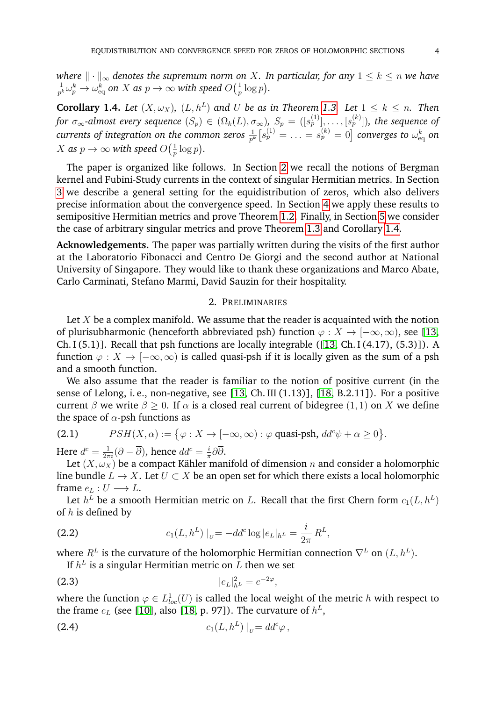*where*  $\|\cdot\|_{\infty}$  *denotes the supremum norm on* X. In particular, for any  $1 \leq k \leq n$  we have 1  $\frac{1}{p^k} \omega_p^k \to \omega_{\rm eq}^k$  on  $X$  as  $p \to \infty$  with speed  $O\big(\frac{1}{p}\big)$  $rac{1}{p} \log p$ .

<span id="page-3-2"></span>**Corollary 1.4.** Let  $(X, \omega_X)$ ,  $(L, h^L)$  and U be as in Theorem [1.3.](#page-2-0) Let  $1 \leq k \leq n$ . Then  ${\it for}$   $\sigma_\infty$ -almost every sequence  $(S_p)\,\in\,(\Omega_k(L),\sigma_\infty),\ S_p\,=\,([s_p^{(1)}],\ldots,[s_p^{(k)}]),$  the sequence of  $currents$  of integration on the common zeros  $\frac{1}{p^k}\big[s_p^{(1)}=\ldots=s_p^{(k)}=0\big]$  converges to  $\omega_{\rm eq}^k$  on X as  $p \to \infty$  with speed  $O(\frac{1}{n})$  $rac{1}{p} \log p$ .

The paper is organized like follows. In Section [2](#page-3-0) we recall the notions of Bergman kernel and Fubini-Study currents in the context of singular Hermitian metrics. In Section [3](#page-6-0) we describe a general setting for the equidistribution of zeros, which also delivers precise information about the convergence speed. In Section [4](#page-12-0) we apply these results to semipositive Hermitian metrics and prove Theorem [1.2.](#page-2-1) Finally, in Section [5](#page-19-0) we consider the case of arbitrary singular metrics and prove Theorem [1.3](#page-2-0) and Corollary [1.4.](#page-3-2)

**Acknowledgements.** The paper was partially written during the visits of the first author at the Laboratorio Fibonacci and Centro De Giorgi and the second author at National University of Singapore. They would like to thank these organizations and Marco Abate, Carlo Carminati, Stefano Marmi, David Sauzin for their hospitality.

# 2. PRELIMINARIES

<span id="page-3-0"></span>Let  $X$  be a complex manifold. We assume that the reader is acquainted with the notion of plurisubharmonic (henceforth abbreviated psh) function  $\varphi : X \to [-\infty, \infty)$ , see [\[13,](#page-22-8) Ch. I  $(5.1)$ ]. Recall that psh functions are locally integrable  $(13, Ch. I (4.17), (5.3))$ . A function  $\varphi: X \to [-\infty, \infty)$  is called quasi-psh if it is locally given as the sum of a psh and a smooth function.

We also assume that the reader is familiar to the notion of positive current (in the sense of Lelong, i. e., non-negative, see [\[13,](#page-22-8) Ch. III (1.13)], [\[18,](#page-22-9) B.2.11]). For a positive current  $\beta$  we write  $\beta \geq 0$ . If  $\alpha$  is a closed real current of bidegree (1, 1) on X we define the space of  $\alpha$ -psh functions as

<span id="page-3-1"></span>(2.1) 
$$
PSH(X, \alpha) := \{ \varphi : X \to [-\infty, \infty) : \varphi \text{ quasi-psh, } dd^c \psi + \alpha \geq 0 \}.
$$

Here  $d^c = \frac{1}{2\pi i} (\partial - \overline{\partial})$ , hence  $dd^c = \frac{i}{\pi}$  $\frac{i}{\pi}\partial\partial$ .

Let  $(X, \omega_X)$  be a compact Kähler manifold of dimension n and consider a holomorphic line bundle  $L \to X$ . Let  $U \subset X$  be an open set for which there exists a local holomorphic frame  $e_L : U \longrightarrow L$ .

Let  $h^L$  be a smooth Hermitian metric on  $L.$  Recall that the first Chern form  $c_1(L,h^L)$ of  $h$  is defined by

(2.2) 
$$
c_1(L, h^L)|_U = -dd^c \log |e_L|_{h^L} = \frac{i}{2\pi} R^L,
$$

where  $R^L$  is the curvature of the holomorphic Hermitian connection  $\nabla^L$  on  $(L, h^L).$ 

<span id="page-3-3"></span>If  $h^L$  is a singular Hermitian metric on  $L$  then we set

(2.3) 
$$
|e_L|^2_{h^L} = e^{-2\varphi},
$$

where the function  $\varphi \in L^1_{loc}(U)$  is called the local weight of the metric  $h$  with respect to the frame  $e_L$  (see [\[10\]](#page-22-10), also [\[18,](#page-22-9) p. 97]). The curvature of  $h^L$ ,

$$
(2.4) \t\t\t c_1(L, h^L) |_{U} = dd^c \varphi,
$$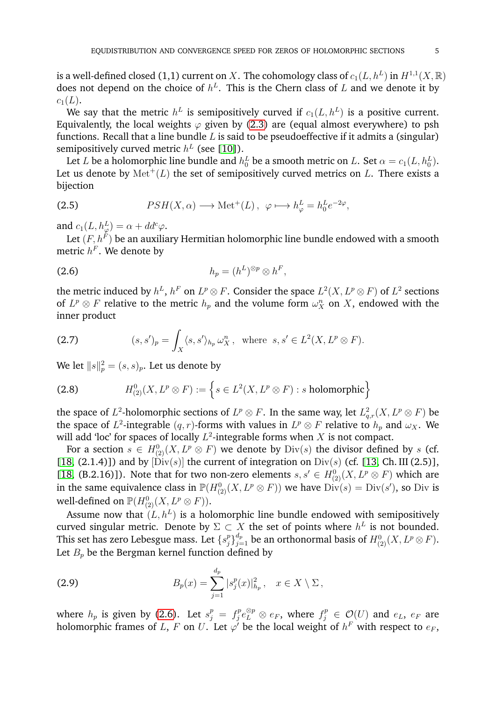is a well-defined closed (1,1) current on  $X.$  The cohomology class of  $c_1(L, h^L)$  in  $H^{1,1}(X,\mathbb{R})$ does not depend on the choice of  $h^L$ . This is the Chern class of  $L$  and we denote it by  $c_1(L)$ .

We say that the metric  $h^L$  is semipositively curved if  $c_1(L,h^L)$  is a positive current. Equivalently, the local weights  $\varphi$  given by [\(2.3\)](#page-3-3) are (equal almost everywhere) to psh functions. Recall that a line bundle  $L$  is said to be pseudoeffective if it admits a (singular) semipositively curved metric  $h^L$  (see [\[10\]](#page-22-10)).

Let  $L$  be a holomorphic line bundle and  $h_0^L$  be a smooth metric on  $L.$  Set  $\alpha = c_1(L, h_0^L).$ Let us denote by  $\mathrm{Met}^+(L)$  the set of semipositively curved metrics on L. There exists a bijection

<span id="page-4-4"></span>(2.5) 
$$
PSH(X, \alpha) \longrightarrow \text{Met}^+(L), \ \varphi \longmapsto h_{\varphi}^L = h_0^L e^{-2\varphi},
$$

and  $c_1(L, h_{\varphi}^L) = \alpha + dd^c \varphi$ .

Let  $(F,h^F)$  be an auxiliary Hermitian holomorphic line bundle endowed with a smooth metric  $h^F$ . We denote by

<span id="page-4-2"></span>
$$
(2.6) \t\t\t\t h_p = (h^L)^{\otimes p} \otimes h^F,
$$

the metric induced by  $h^L$ ,  $h^F$  on  $L^p\otimes F$ . Consider the space  $L^2(X,L^p\otimes F)$  of  $L^2$  sections of  $L^p \otimes F$  relative to the metric  $h_p$  and the volume form  $\omega_X^n$  on X, endowed with the inner product

<span id="page-4-0"></span>(2.7) 
$$
(s, s')_p = \int_X \langle s, s' \rangle_{h_p} \omega_X^n, \text{ where } s, s' \in L^2(X, L^p \otimes F).
$$

We let  $\|s\|_p^2 = (s, s)_p$ . Let us denote by

<span id="page-4-1"></span>(2.8) 
$$
H_{(2)}^{0}(X, L^{p} \otimes F) := \left\{ s \in L^{2}(X, L^{p} \otimes F) : s \text{ holomorphic} \right\}
$$

the space of  $L^2$ -holomorphic sections of  $L^p\otimes F.$  In the same way, let  $L^2_{q,r}(X,L^p\otimes F)$  be the space of  $L^2$ -integrable  $(q, r)$ -forms with values in  $L^p \otimes F$  relative to  $h_p$  and  $\omega_X$ . We will add 'loc' for spaces of locally  $L^2$ -integrable forms when  $X$  is not compact.

For a section  $s \in H^0_{(2)}(X, L^p \otimes F)$  we denote by  $\mathrm{Div}(s)$  the divisor defined by  $s$  (cf. [\[18,](#page-22-9) (2.1.4)]) and by  $[\text{Div}(s)]$  the current of integration on  $\text{Div}(s)$  (cf. [\[13,](#page-22-8) Ch. III (2.5)], [\[18,](#page-22-9) (B.2.16)]). Note that for two non-zero elements  $s, s' \in H^0_{(2)}(X, L^p \otimes F)$  which are in the same equivalence class in  $\mathbb{P}(H^0_{(2)}(X,L^p\otimes F))$  we have  $\text{Div}(s) = \text{Div}(s')$ , so  $\text{Div}$  is well-defined on  $\mathbb{P}(H_{(2)}^{0}(X, L^{p} \otimes F)).$ 

Assume now that  $(L, h^L)$  is a holomorphic line bundle endowed with semipositively curved singular metric. Denote by  $\Sigma \subset X$  the set of points where  $h^L$  is not bounded. This set has zero Lebesgue mass. Let  $\{s_i^p\}$  $_{j}^{p} \} _{j=1}^{d_{p}}$  be an orthonormal basis of  $H_{(2)}^{0}(X, L^{p} \otimes F).$ Let  $B_p$  be the Bergman kernel function defined by

<span id="page-4-3"></span>(2.9) 
$$
B_p(x) = \sum_{j=1}^{d_p} |s_j^p(x)|_{h_p}^2, \quad x \in X \setminus \Sigma,
$$

where  $h_p$  is given by [\(2.6\)](#page-4-2). Let  $s_j^p = f_j^p$  $j^p e_L^{\otimes p} \otimes e_F$ , where  $f_j^p \in \mathcal{O}(U)$  and  $e_L$ ,  $e_F$  are holomorphic frames of  $L, \, F$  on  $U.$  Let  $\varphi'$  be the local weight of  $h^F$  with respect to  $e_F,$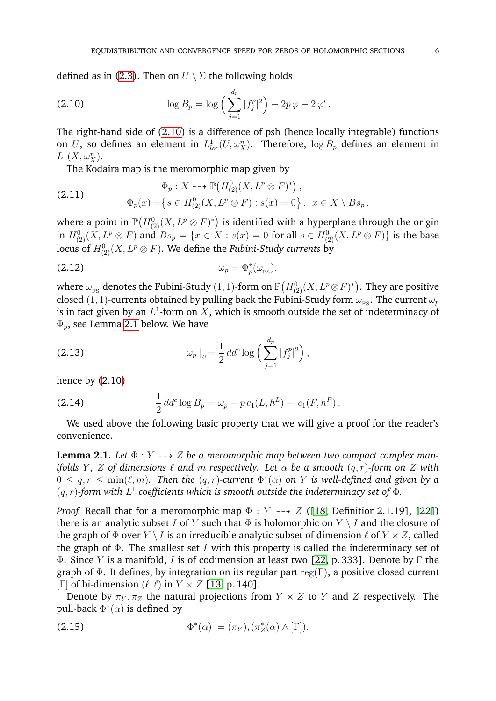defined as in [\(2.3\)](#page-3-3). Then on  $U \setminus \Sigma$  the following holds

<span id="page-5-0"></span>(2.10) 
$$
\log B_p = \log \left( \sum_{j=1}^{d_p} |f_j^p|^2 \right) - 2p \varphi - 2 \varphi'.
$$

The right-hand side of [\(2.10\)](#page-5-0) is a difference of psh (hence locally integrable) functions on U, so defines an element in  $L^1_{loc}(U,\omega_X^n)$ . Therefore,  $\log B_p$  defines an element in  $L^1(X,\omega_X^n)$ .

The Kodaira map is the meromorphic map given by

<span id="page-5-2"></span>(2.11) 
$$
\Phi_p: X \dashrightarrow \mathbb{P}(H^0_{(2)}(X, L^p \otimes F)^*) ,
$$

$$
\Phi_p(x) = \{ s \in H^0_{(2)}(X, L^p \otimes F) : s(x) = 0 \}, \quad x \in X \setminus Bs_p ,
$$

where a point in  $\mathbb{P}\big(H_{(2)}^{0}(X, L^{p}\otimes F)^{*}\big)$  is identified with a hyperplane through the origin in  $H^0_{(2)}(X, L^p\otimes F)$  and  $Bs_p=\{x\in X: s(x)=0 \text{ for all } s\in H^0_{(2)}(X, L^p\otimes F)\}$  is the base locus of  $H^0_{(2)}(X,L^p\otimes F).$  We define the *Fubini-Study currents* by

<span id="page-5-3"></span>
$$
\omega_p = \Phi_p^*(\omega_{\text{FS}}),
$$

where  $\omega_{_{\rm FS}}$  denotes the Fubini-Study  $(1,1)$ -form on  $\mathbb{P}\big(H_{(2)}^{0}(X,L^{p}\otimes F)^{*}\big).$  They are positive closed (1, 1)-currents obtained by pulling back the Fubini-Study form  $\omega_{FS}$ . The current  $\omega_p$ is in fact given by an  $L^1$ -form on X, which is smooth outside the set of indeterminacy of  $\Phi_p$ , see Lemma [2.1](#page-5-1) below. We have

<span id="page-5-5"></span>(2.13) 
$$
\omega_p\mid_v = \frac{1}{2}dd^c \log \left( \sum_{j=1}^{d_p} |f_j^p|^2 \right),
$$

hence by [\(2.10\)](#page-5-0)

<span id="page-5-4"></span>(2.14) 
$$
\frac{1}{2} dd^c \log B_p = \omega_p - p c_1(L, h^L) - c_1(F, h^F).
$$

We used above the following basic property that we will give a proof for the reader's convenience.

<span id="page-5-1"></span>**Lemma 2.1.** Let  $\Phi: Y \dashrightarrow Z$  be a meromorphic map between two compact complex man*ifolds Y*, *Z* of dimensions  $\ell$  *and* m *respectively.* Let  $\alpha$  be a *smooth*  $(q, r)$ *-form on Z* with  $0 \le q, r \le \min(\ell, m)$ . Then the  $(q, r)$ -current  $\Phi^*(\alpha)$  on Y is well-defined and given by a  $(q, r)$ -form with  $L^1$  coefficients which is smooth outside the indeterminacy set of  $\Phi$ .

*Proof.* Recall that for a meromorphic map  $\Phi : Y \dashrightarrow Z$  ([\[18,](#page-22-9) Definition 2.1.19], [\[22\]](#page-22-11)) there is an analytic subset I of Y such that  $\Phi$  is holomorphic on  $Y \setminus I$  and the closure of the graph of  $\Phi$  over  $Y \setminus I$  is an irreducible analytic subset of dimension  $\ell$  of  $Y \times Z$ , called the graph of  $\Phi$ . The smallest set I with this property is called the indeterminacy set of Φ. Since Y is a manifold, I is of codimension at least two [\[22,](#page-22-11) p. 333]. Denote by Γ the graph of  $\Phi$ . It defines, by integration on its regular part reg(Γ), a positive closed current [Γ] of bi-dimension  $(\ell, \ell)$  in  $Y \times Z$  [\[13,](#page-22-8) p. 140].

Denote by  $\pi_Y$ ,  $\pi_Z$  the natural projections from  $Y \times Z$  to Y and Z respectively. The pull-back  $\Phi^*(\alpha)$  is defined by

(2.15) 
$$
\Phi^*(\alpha) := (\pi_Y)_*(\pi_Z^*(\alpha) \wedge [\Gamma]).
$$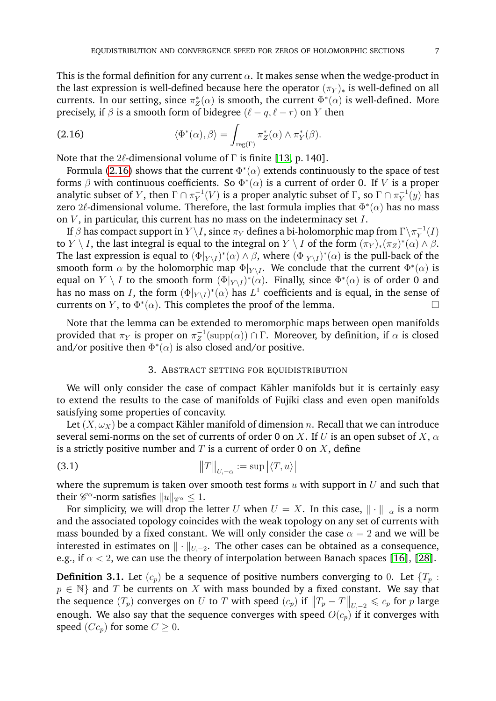This is the formal definition for any current  $\alpha$ . It makes sense when the wedge-product in the last expression is well-defined because here the operator  $(\pi_Y)_*$  is well-defined on all currents. In our setting, since  $\pi_Z^*(\alpha)$  is smooth, the current  $\Phi^*(\alpha)$  is well-defined. More precisely, if  $\beta$  is a smooth form of bidegree  $(\ell - q, \ell - r)$  on Y then

<span id="page-6-3"></span>(2.16) 
$$
\langle \Phi^*(\alpha), \beta \rangle = \int_{\text{reg}(\Gamma)} \pi_Z^*(\alpha) \wedge \pi_Y^*(\beta).
$$

Note that the  $2\ell$ -dimensional volume of  $\Gamma$  is finite [\[13,](#page-22-8) p. 140].

Formula [\(2.16\)](#page-6-3) shows that the current  $\Phi^*(\alpha)$  extends continuously to the space of test forms  $\beta$  with continuous coefficients. So  $\Phi^*(\alpha)$  is a current of order 0. If V is a proper analytic subset of Y, then  $\Gamma \cap \pi_Y^{-1}$  $V_Y^{-1}(V)$  is a proper analytic subset of  $\Gamma$ , so  $\Gamma \cap \pi_Y^{-1}$  $\overline{Y}^1(y)$  has zero  $2\ell$ -dimensional volume. Therefore, the last formula implies that  $\Phi^*(\alpha)$  has no mass on  $V$ , in particular, this current has no mass on the indeterminacy set  $I$ .

If  $\beta$  has compact support in  $Y\backslash I,$  since  $\pi_Y$  defines a bi-holomorphic map from  $\Gamma\backslash\pi_Y^{-1}$  $\frac{1}{Y}(I)$ to  $Y \setminus I$ , the last integral is equal to the integral on  $Y \setminus I$  of the form  $(\pi_Y)_*(\pi_Z)^*(\alpha) \wedge \beta$ . The last expression is equal to  $(\Phi|_{Y\setminus I})^*(\alpha)\wedge \beta$ , where  $(\Phi|_{Y\setminus I})^*(\alpha)$  is the pull-back of the smooth form  $\alpha$  by the holomorphic map  $\Phi|_{Y \setminus I}$ . We conclude that the current  $\Phi^*(\alpha)$  is equal on  $Y \setminus I$  to the smooth form  $(\Phi|_{Y \setminus I})^*(\alpha)$ . Finally, since  $\Phi^*(\alpha)$  is of order 0 and has no mass on I, the form  $(\Phi|_{Y \setminus I})^*(\alpha)$  has  $L^1$  coefficients and is equal, in the sense of currents on Y, to  $\Phi^*(\alpha)$ . This completes the proof of the lemma.

Note that the lemma can be extended to meromorphic maps between open manifolds provided that  $\pi_Y$  is proper on  $\pi_Z^{-1}$  $Z^{-1}(\text{supp}(\alpha)) \cap \Gamma$ . Moreover, by definition, if  $\alpha$  is closed and/or positive then  $\Phi^*(\alpha)$  is also closed and/or positive.

# 3. ABSTRACT SETTING FOR EQUIDISTRIBUTION

<span id="page-6-0"></span>We will only consider the case of compact Kähler manifolds but it is certainly easy to extend the results to the case of manifolds of Fujiki class and even open manifolds satisfying some properties of concavity.

Let  $(X, \omega_X)$  be a compact Kähler manifold of dimension *n*. Recall that we can introduce several semi-norms on the set of currents of order 0 on X. If U is an open subset of X,  $\alpha$ is a strictly positive number and  $T$  is a current of order 0 on  $X$ , define

<span id="page-6-1"></span>
$$
\|T\|_{U,-\alpha} := \sup |\langle T, u \rangle|
$$

where the supremum is taken over smooth test forms  $u$  with support in  $U$  and such that their  $\mathscr{C}^{\alpha}$ -norm satisfies  $\|u\|_{\mathscr{C}^{\alpha}} \leq 1$ .

For simplicity, we will drop the letter U when  $U = X$ . In this case,  $\|\cdot\|_{-\alpha}$  is a norm and the associated topology coincides with the weak topology on any set of currents with mass bounded by a fixed constant. We will only consider the case  $\alpha = 2$  and we will be interested in estimates on  $\|\cdot\|_{U,-2}$ . The other cases can be obtained as a consequence, e.g., if  $\alpha$  < 2, we can use the theory of interpolation between Banach spaces [\[16\]](#page-22-4), [\[28\]](#page-22-12).

<span id="page-6-2"></span>**Definition 3.1.** Let  $(c_p)$  be a sequence of positive numbers converging to 0. Let  $\{T_p :$  $p \in \mathbb{N}$  and T be currents on X with mass bounded by a fixed constant. We say that the sequence  $(T_p)$  converges on U to T with speed  $(c_p)$  if  $||T_p - T||_{U, -2} \leqslant c_p$  for p large enough. We also say that the sequence converges with speed  $O(c_p)$  if it converges with speed  $(Cc_p)$  for some  $C \geq 0$ .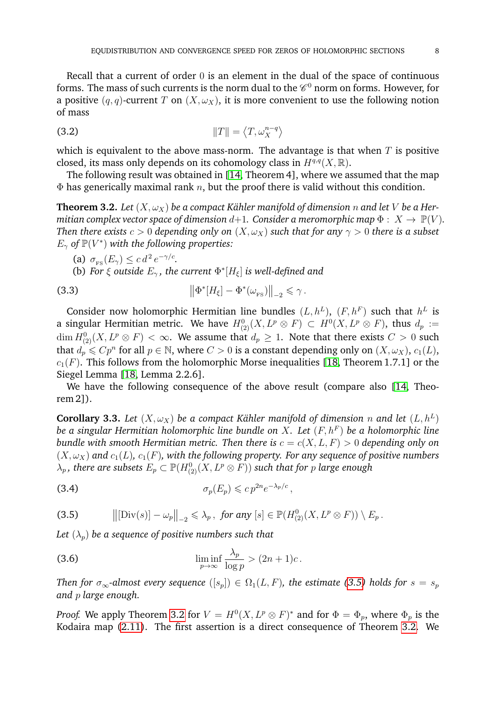Recall that a current of order 0 is an element in the dual of the space of continuous forms. The mass of such currents is the norm dual to the  $\mathscr{C}^0$  norm on forms. However, for a positive  $(q, q)$ -current T on  $(X, \omega_X)$ , it is more convenient to use the following notion of mass

<span id="page-7-1"></span>
$$
\|T\| = \langle T, \omega_X^{n-q} \rangle
$$

which is equivalent to the above mass-norm. The advantage is that when  $T$  is positive closed, its mass only depends on its cohomology class in  $H^{q,q}(X,\mathbb{R})$ .

The following result was obtained in [\[14,](#page-22-5) Theorem 4], where we assumed that the map  $\Phi$  has generically maximal rank n, but the proof there is valid without this condition.

<span id="page-7-0"></span>**Theorem 3.2.** Let  $(X, \omega_X)$  be a compact Kähler manifold of dimension n and let V be a Her*mitian complex vector space of dimension*  $d+1$ *. Consider a meromorphic map*  $\Phi: X \to \mathbb{P}(V)$ *. Then there exists*  $c > 0$  *depending only on*  $(X, \omega_X)$  *such that for any*  $\gamma > 0$  *there is a subset*  $E_{\gamma}$  of  $\mathbb{P}(V^*)$  with the following properties:

(a)  $\sigma_{\rm \!FS}(E_\gamma) \leq c d^2 e^{-\gamma/c}$ .

(b) *For*  $\xi$  *outside*  $E_{\gamma}$ *, the current*  $\Phi^*[H_{\xi}]$  *is well-defined and* 

(3.3) 
$$
\left\|\Phi^*[H_{\xi}] - \Phi^*(\omega_{\text{FS}})\right\|_{-2} \leq \gamma.
$$

Consider now holomorphic Hermitian line bundles  $(L, h^L)$ ,  $(F, h^F)$  such that  $h^L$  is a singular Hermitian metric. We have  $H^0_{(2)}(X,L^p\otimes F)\, \subset\, H^0(X,L^p\otimes F),$  thus  $d_p\,:=$  $\dim H_{(2)}^{0}(X, L^{p}\otimes F)<\infty.$  We assume that  $d_{p}\geq 1.$  Note that there exists  $C>0$  such that  $d_p\leqslant Cp^n$  for all  $p\in \mathbb{N},$  where  $C>0$  is a constant depending only on  $(X,\omega_X),$   $c_1(L),$  $c_1(F)$ . This follows from the holomorphic Morse inequalities [\[18,](#page-22-9) Theorem 1.7.1] or the Siegel Lemma [\[18,](#page-22-9) Lemma 2.2.6].

We have the following consequence of the above result (compare also [\[14,](#page-22-5) Theorem 2]).

<span id="page-7-5"></span>**Corollary 3.3.** Let  $(X, \omega_X)$  be a compact Kähler manifold of dimension n and let  $(L, h^L)$ *be a singular Hermitian holomorphic line bundle on* X*. Let* (F, h<sup>F</sup> ) *be a holomorphic line bundle with smooth Hermitian metric. Then there is*  $c = c(X, L, F) > 0$  *depending only on*  $(X, \omega_X)$  and  $c_1(L)$ ,  $c_1(F)$ , with the following property. For any sequence of positive numbers  $\lambda_p$  , there are subsets  $E_p \subset {\mathbb P}(H_{(2)}^0(X, L^p\otimes F))$  such that for  $p$  large enough

<span id="page-7-4"></span>(3.4) 
$$
\sigma_p(E_p) \leqslant c p^{2n} e^{-\lambda_p/c},
$$

<span id="page-7-2"></span>(3.5) 
$$
\left\| \left[ \text{Div}(s) \right] - \omega_p \right\|_{-2} \leq \lambda_p, \text{ for any } [s] \in \mathbb{P}(H^0_{(2)}(X, L^p \otimes F)) \setminus E_p.
$$

Let  $(\lambda_p)$  be a sequence of positive numbers such that

<span id="page-7-3"></span>(3.6) 
$$
\liminf_{p \to \infty} \frac{\lambda_p}{\log p} > (2n+1)c.
$$

*Then for*  $\sigma_{\infty}$ -almost every sequence  $([s_p]) \in \Omega_1(L, F)$ , the estimate [\(3.5\)](#page-7-2) holds for  $s = s_p$ *and* p *large enough.*

*Proof.* We apply Theorem [3.2](#page-7-0) for  $V = H^0(X, L^p \otimes F)^*$  and for  $\Phi = \Phi_p$ , where  $\Phi_p$  is the Kodaira map [\(2.11\)](#page-5-2). The first assertion is a direct consequence of Theorem [3.2.](#page-7-0) We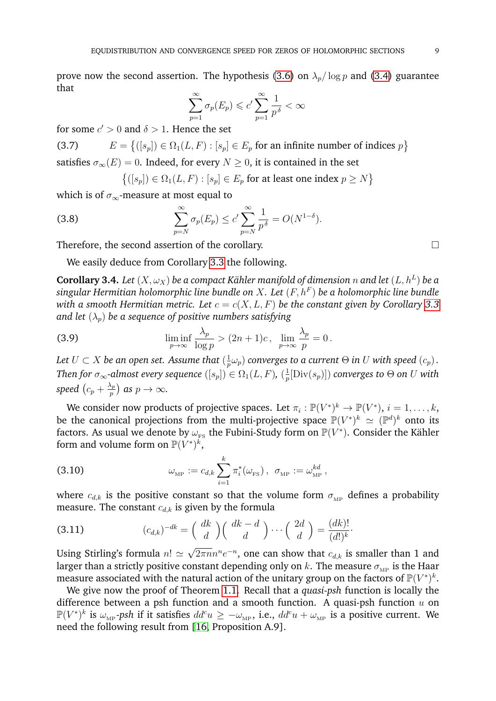prove now the second assertion. The hypothesis [\(3.6\)](#page-7-3) on  $\lambda_p / \log p$  and [\(3.4\)](#page-7-4) guarantee that

$$
\sum_{p=1}^{\infty} \sigma_p(E_p) \leqslant c' \sum_{p=1}^{\infty} \frac{1}{p^{\delta}} < \infty
$$

for some  $c' > 0$  and  $\delta > 1$ . Hence the set

 $E = \{([s_p]) \in \Omega_1(L, F) : [s_p] \in E_p \text{ for an infinite number of indices } p\}$ (3.7) satisfies  $\sigma_{\infty}(E) = 0$ . Indeed, for every  $N \geq 0$ , it is contained in the set

$$
\{([s_p]) \in \Omega_1(L, F) : [s_p] \in E_p \text{ for at least one index } p \ge N\}
$$

which is of  $\sigma_{\infty}$ -measure at most equal to

(3.8) 
$$
\sum_{p=N}^{\infty} \sigma_p(E_p) \le c' \sum_{p=N}^{\infty} \frac{1}{p^{\delta}} = O(N^{1-\delta}).
$$

Therefore, the second assertion of the corollary.

We easily deduce from Corollary [3.3](#page-7-5) the following.

<span id="page-8-1"></span> ${\bf Corollary 3.4.}$   $Let \, (X, \omega_X)$  be a compact Kähler manifold of dimension  $n$  and let  $(L, h^L)$  be a *singular Hermitian holomorphic line bundle on* X*. Let* (F, h<sup>F</sup> ) *be a holomorphic line bundle with a smooth Hermitian metric. Let*  $c = c(X, L, F)$  *be the constant given by Corollary* [3.3](#page-7-5) *and let*  $(\lambda_p)$  *be a sequence of positive numbers satisfying* 

(3.9) 
$$
\liminf_{p \to \infty} \frac{\lambda_p}{\log p} > (2n+1)c, \lim_{p \to \infty} \frac{\lambda_p}{p} = 0.
$$

Let  $U \subset X$  be an open set. Assume that  $(\frac{1}{n})$  $\frac{1}{p}\omega_p)$  converges to a current  $\Theta$  in  $U$  with speed  $(c_p)$  . *Then for*  $\sigma_{\infty}$ -almost every sequence  $([s_p]) \in \Omega_1(L, F)$ ,  $(\frac{1}{n})$  $\frac{1}{p}[\operatorname{Div}(s_p)])$  converges to  $\Theta$  on  $U$  with speed  $(c_p + \frac{\lambda_p}{n})$  $\binom{\lambda_p}{p}$  as  $p \to \infty$ .

We consider now products of projective spaces. Let  $\pi_i : \mathbb{P}(V^*)^k \to \mathbb{P}(V^*)$ ,  $i = 1, \ldots, k$ , be the canonical projections from the multi-projective space  $\mathbb{P}(V^*)^k \simeq (\mathbb{P}^d)^k$  onto its factors. As usual we denote by  $\omega_{_{\rm FS}}$  the Fubini-Study form on  ${\mathbb P}(V^*)$ . Consider the Kähler form and volume form on  $\mathbb{P}(V^*)^{\vec{k}}$ ,

<span id="page-8-0"></span>(3.10) 
$$
\omega_{\text{MP}} := c_{d,k} \sum_{i=1}^k \pi_i^*(\omega_{\text{FS}}), \ \sigma_{\text{MP}} := \omega_{\text{MP}}^{kd},
$$

where  $c_{d,k}$  is the positive constant so that the volume form  $\sigma_{MP}$  defines a probability measure. The constant  $c_{d,k}$  is given by the formula

(3.11) 
$$
(c_{d,k})^{-dk} = \left(\begin{array}{c} dk \\ d \end{array}\right) \left(\begin{array}{c} dk - d \\ d \end{array}\right) \cdots \left(\begin{array}{c} 2d \\ d \end{array}\right) = \frac{(dk)!}{(d!)^k}.
$$

Using Stirling's formula  $n! \simeq$  $\overline{2\pi nn}^ne^{-n}$ , one can show that  $c_{d,k}$  is smaller than 1 and larger than a strictly positive constant depending only on k. The measure  $\sigma_{\text{MP}}$  is the Haar measure associated with the natural action of the unitary group on the factors of  $\mathbb{P}(V^*)^k$ .

We give now the proof of Theorem [1.1.](#page-1-0) Recall that a *quasi-psh* function is locally the difference between a psh function and a smooth function. A quasi-psh function  $u$  on  ${\Bbb P}(V^*)^k$  is  $\omega_{\rm MP}$ *-psh* if it satisfies  $dd^cu\ge-\omega_{\rm MP}$ , i.e.,  $dd^cu+\omega_{\rm MP}$  is a positive current. We need the following result from [\[16,](#page-22-4) Proposition A.9].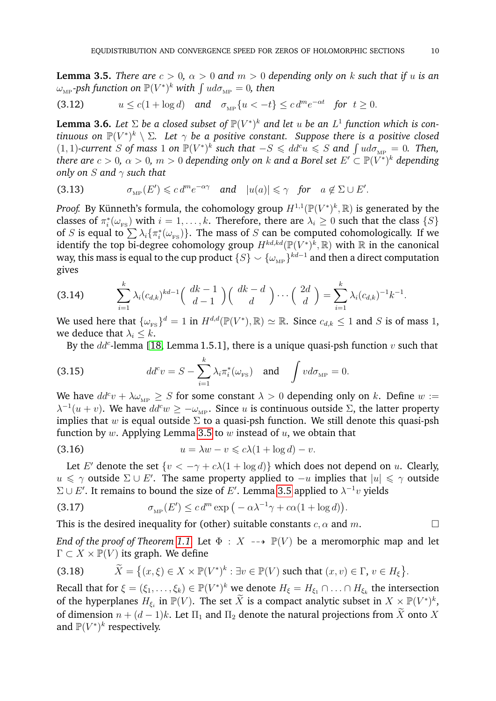<span id="page-9-0"></span>**Lemma 3.5.** *There are*  $c > 0$ ,  $\alpha > 0$  *and*  $m > 0$  *depending only on k such that if u is an*  $\omega_{\textrm{\tiny MP}}$ -psh function on  $\mathbb{P}(V^*)^k$  with  $\int ud\sigma_{\textrm{\tiny MP}}=0$ , then

$$
(3.12) \t u \le c(1 + \log d) \quad \text{and} \quad \sigma_{\text{MP}}\{u < -t\} \le c \, d^m e^{-\alpha t} \quad \text{for} \ \ t \ge 0.
$$

<span id="page-9-1"></span>**Lemma 3.6.** Let  $\Sigma$  be a closed subset of  $\mathbb{P}(V^*)^k$  and let u be an  $L^1$  function which is continuous on  $\mathbb{P}(V^*)^k \setminus \Sigma$ . Let  $\gamma$  be a positive constant. Suppose there is a positive closed  $(1, 1)$ -current S of mass 1 on  $\mathbb{P}(V^*)^k$  such that  $-S \leq d d^c u \leq S$  and  $\int u d\sigma_{\text{MP}} = 0$ . Then, *there are*  $c > 0$ *,*  $\alpha > 0$ *,*  $m > 0$  *depending only on*  $k$  *and a Borel set*  $E' \subset \mathbb{P}(V^*)^k$  *depending only on* S *and* γ *such that*

(3.13) 
$$
\sigma_{\text{MP}}(E') \leq c d^m e^{-\alpha \gamma}
$$
 and  $|u(a)| \leq \gamma$  for  $a \notin \Sigma \cup E'.$ 

*Proof.* By Künneth's formula, the cohomology group  $H^{1,1}(\mathbb{P}(V^*)^k, \mathbb{R})$  is generated by the classes of  $\pi_i^*(\omega_{\text{FS}})$  with  $i=1,\ldots,k$ . Therefore, there are  $\lambda_i\geq 0$  such that the class  $\{S\}$ of S is equal to  $\sum \lambda_i \{\pi_i^*(\omega_{_{\rm FS}})\}.$  The mass of S can be computed cohomologically. If we identify the top bi-degree cohomology group  $H^{kd,kd}(\mathbb{P}(V^*)^k, \mathbb{R})$  with  $\mathbb R$  in the canonical way, this mass is equal to the cup product  $\{S\} \smallsmile \{\omega_{\textrm{\tiny MP}}\}^{kd-1}$  and then a direct computation gives

$$
(3.14) \qquad \sum_{i=1}^k \lambda_i (c_{d,k})^{kd-1} \binom{dk-1}{d-1} \binom{dk-d}{d} \cdots \binom{2d}{d} = \sum_{i=1}^k \lambda_i (c_{d,k})^{-1} k^{-1}.
$$

We used here that  $\{\omega_{\text{rs}}\}^d = 1$  in  $H^{d,d}(\mathbb{P}(V^*), \mathbb{R}) \simeq \mathbb{R}$ . Since  $c_{d,k} \leq 1$  and  $S$  is of mass 1, we deduce that  $\lambda_i \leq k$ .

By the  $dd^c$ -lemma [\[18,](#page-22-9) Lemma 1.5.1], there is a unique quasi-psh function  $v$  such that

(3.15) 
$$
dd^c v = S - \sum_{i=1}^k \lambda_i \pi_i^* (\omega_{\text{FS}}) \quad \text{and} \quad \int v d\sigma_{\text{MP}} = 0.
$$

We have  $dd^c v + \lambda \omega_{\text{MP}} \geq S$  for some constant  $\lambda > 0$  depending only on k. Define  $w :=$  $\lambda^{-1}(u+v)$ . We have  $dd^c w \ge -\omega_{\text{MP}}$ . Since u is continuous outside  $\Sigma$ , the latter property implies that w is equal outside  $\Sigma$  to a quasi-psh function. We still denote this quasi-psh function by  $w$ . Applying Lemma [3.5](#page-9-0) to  $w$  instead of  $u$ , we obtain that

(3.16) 
$$
u = \lambda w - v \leqslant c\lambda (1 + \log d) - v.
$$

Let E' denote the set  $\{v < -\gamma + c\lambda(1 + \log d)\}\)$  which does not depend on u. Clearly,  $u \leq \gamma$  outside  $\Sigma \cup E'$ . The same property applied to  $-u$  implies that  $|u| \leq \gamma$  outside  $\Sigma \cup E'$ . It remains to bound the size of  $E'$ . Lemma [3.5](#page-9-0) applied to  $\lambda^{-1}v$  yields

(3.17) 
$$
\sigma_{\text{MP}}(E') \leq c d^m \exp\left(-\alpha \lambda^{-1} \gamma + c \alpha (1 + \log d)\right).
$$

This is the desired inequality for (other) suitable constants  $c, \alpha$  and  $m$ .

*End of the proof of Theorem [1.1.](#page-1-0)* Let  $\Phi : X \dashrightarrow \mathbb{P}(V)$  be a meromorphic map and let  $\Gamma \subset X \times \mathbb{P}(V)$  its graph. We define

(3.18) 
$$
\widetilde{X} = \left\{ (x,\xi) \in X \times \mathbb{P}(V^*)^k : \exists v \in \mathbb{P}(V) \text{ such that } (x,v) \in \Gamma, v \in H_{\xi} \right\}.
$$

Recall that for  $\xi = (\xi_1, \ldots, \xi_k) \in \mathbb{P}(V^*)^k$  we denote  $H_{\xi} = H_{\xi_1} \cap \ldots \cap H_{\xi_k}$  the intersection of the hyperplanes  $H_{\xi_i}$  in  $\mathbb{P}(V)$ . The set  $\widetilde{X}$  is a compact analytic subset in  $X \times \mathbb{P}(V^*)^k$ . of dimension  $n + (d - 1)k$ . Let  $\Pi_1$  and  $\Pi_2$  denote the natural projections from  $\widetilde{X}$  onto X and  $\mathbb{P}(V^*)^k$  respectively.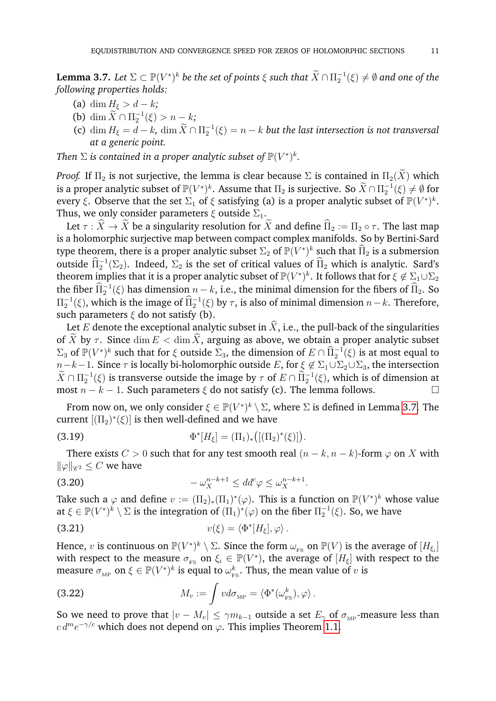<span id="page-10-0"></span>**Lemma 3.7.** Let  $\Sigma \subset \mathbb{P}(V^*)^k$  be the set of points  $\xi$  such that  $\widetilde{X} \cap \Pi_2^{-1}(\xi) \neq \emptyset$  and one of the *following properties holds:*

- (a) dim  $H_{\xi} > d k$ ;
- (b) dim  $\widetilde{X} \cap \Pi_2^{-1}(\xi) > n k;$
- (c)  $\dim H_{\xi} = d k$ ,  $\dim \widetilde{X} \cap \Pi_2^{-1}(\xi) = n k$  *but the last intersection is not transversal at a generic point.*

*Then*  $\Sigma$  *is contained in a proper analytic subset of*  $\mathbb{P}(V^*)^k$ *.* 

*Proof.* If  $\Pi_2$  is not surjective, the lemma is clear because  $\Sigma$  is contained in  $\Pi_2(\widetilde{X})$  which is a proper analytic subset of  $\mathbb{P}(V^*)^k$ . Assume that  $\Pi_2$  is surjective. So  $\widetilde{X} \cap \Pi_2^{-1}(\xi) \neq \emptyset$  for every  $\xi$ . Observe that the set  $\Sigma_1$  of  $\xi$  satisfying (a) is a proper analytic subset of  $\mathbb{P}(V^*)^k$ . Thus, we only consider parameters  $\xi$  outside  $\Sigma_1$ .

Let  $\tau : \widehat{X} \to \widetilde{X}$  be a singularity resolution for  $\widetilde{X}$  and define  $\widehat{\Pi}_2 := \Pi_2 \circ \tau$ . The last map is a holomorphic surjective map between compact complex manifolds. So by Bertini-Sard type theorem, there is a proper analytic subset  $\Sigma_2$  of  $\mathbb{P}(V^*)^k$  such that  $\widehat{\Pi}_2$  is a submersion outside  $\widehat{\Pi}_2^{-1}(\Sigma_2)$ . Indeed,  $\Sigma_2$  is the set of critical values of  $\widehat{\Pi}_2$  which is analytic. Sard's theorem implies that it is a proper analytic subset of  $\mathbb{P}(V^*)^k.$  It follows that for  $\xi \not\in \Sigma_1 \cup \Sigma_2$ the fiber  $\widehat{\Pi}_2^{-1}(\xi)$  has dimension  $n - k$ , i.e., the minimal dimension for the fibers of  $\widehat{\Pi}_2$ . So  $\Pi_2^{-1}$ (ξ), which is the image of  $\widehat{\Pi}_2^{-1}$ (ξ) by τ, is also of minimal dimension  $n-k$ . Therefore, such parameters  $\xi$  do not satisfy (b).

Let E denote the exceptional analytic subset in  $\hat{X}$ , i.e., the pull-back of the singularities of X by  $\tau$ . Since  $\dim E < \dim \widehat{X}$ , arguing as above, we obtain a proper analytic subset  $\Sigma_3$  of  $\mathbb{P}(V^*)^k$  such that for  $\xi$  outside  $\Sigma_3$ , the dimension of  $E \cap \widehat{\Pi}_2^{-1}(\xi)$  is at most equal to  $n-k-1$ . Since  $\tau$  is locally bi-holomorphic outside E, for  $\xi \notin \Sigma_1 \cup \Sigma_2 \cup \Sigma_3$ , the intersection  $\widetilde{X} \cap \Pi_2^{-1}(\xi)$  is transverse outside the image by  $\tau$  of  $E \cap \widehat{\Pi}_2^{-1}(\xi)$ , which is of dimension at most  $n - k - 1$ . Such parameters  $\xi$  do not satisfy (c). The lemma follows.

From now on, we only consider  $\xi \in {\mathbb P}(V^*)^k \setminus \Sigma$ , where  $\Sigma$  is defined in Lemma [3.7.](#page-10-0) The current  $[(\Pi_2)^*(\xi)]$  is then well-defined and we have

(3.19) 
$$
\Phi^*[H_{\xi}] = (\Pi_1)_* \big( [(\Pi_2)^*(\xi)] \big).
$$

There exists  $C > 0$  such that for any test smooth real  $(n - k, n - k)$ -form  $\varphi$  on X with  $\|\varphi\|_{\mathscr{C}^2} \leq C$  we have

<span id="page-10-1"></span>
$$
(3.20) \t\t -\omega_X^{n-k+1} \le dd^c \varphi \le \omega_X^{n-k+1}.
$$

Take such a  $\varphi$  and define  $v := (\Pi_2)_*(\Pi_1)^*(\varphi)$ . This is a function on  $\mathbb{P}(V^*)^k$  whose value at  $\xi\in\mathbb P(V^*)^k\setminus\Sigma$  is the integration of  $(\Pi_1)^*(\varphi)$  on the fiber  $\Pi_2^{-1}(\xi)$ . So, we have

(3.21) 
$$
v(\xi) = \langle \Phi^* [H_{\xi}], \varphi \rangle.
$$

Hence,  $v$  is continuous on  $\mathbb{P}(V^*)^k \setminus \Sigma$ . Since the form  $\omega_{_{\rm FS}}$  on  $\mathbb{P}(V)$  is the average of  $[H_{\xi_i}]$ with respect to the measure  $\sigma_{FS}$  on  $\xi_i \in \mathbb{P}(V^*)$ , the average of  $[H_{\xi}]$  with respect to the measure  $\sigma_{\text{\tiny MP}}$  on  $\xi \in \mathbb{P}(V^*)^k$  is equal to  $\omega_{\text{\tiny F}}^k$  $\frac{k}{\text{FS}}$ . Thus, the mean value of  $v$  is

(3.22) 
$$
M_v := \int v d\sigma_{\text{MP}} = \langle \Phi^*(\omega_{\text{FS}}^k), \varphi \rangle.
$$

So we need to prove that  $|v - M_v| \le \gamma m_{k-1}$  outside a set  $E_\gamma$  of  $\sigma_{\text{MP}}$ -measure less than  $c \, d^m e^{-\gamma/c}$  which does not depend on  $\varphi$ . This implies Theorem [1.1.](#page-1-0)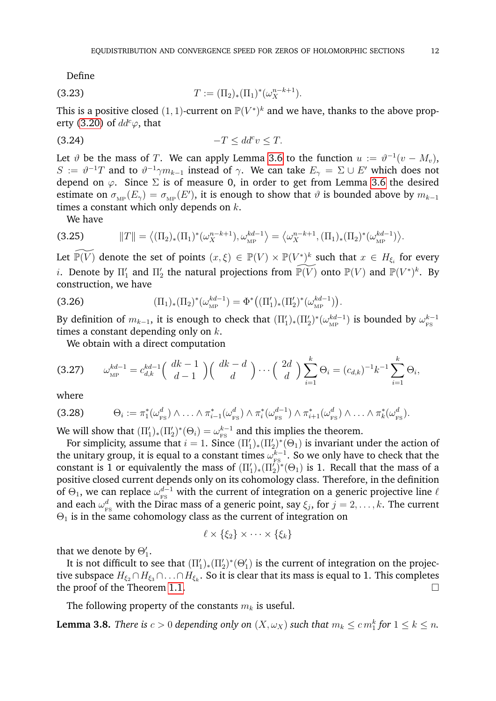Define

(3.23) 
$$
T := (\Pi_2)_* (\Pi_1)^* (\omega_X^{n-k+1}).
$$

This is a positive closed  $(1, 1)$ -current on  $\mathbb{P}(V^*)^k$  and we have, thanks to the above prop-erty [\(3.20\)](#page-10-1) of  $dd^c\varphi$ , that

$$
(3.24) \t\t -T \le dd^c v \le T.
$$

Let  $\vartheta$  be the mass of  $T$ . We can apply Lemma [3.6](#page-9-1) to the function  $u := \vartheta^{-1}(v - M_v)$ ,  $S := \vartheta^{-1}T$  and to  $\vartheta^{-1}\gamma m_{k-1}$  instead of  $\gamma$ . We can take  $E_{\gamma} = \Sigma \cup E'$  which does not depend on  $\varphi$ . Since  $\Sigma$  is of measure 0, in order to get from Lemma [3.6](#page-9-1) the desired estimate on  $\sigma_{\text{MP}}(E_{\gamma}) = \sigma_{\text{MP}}(E')$ , it is enough to show that  $\vartheta$  is bounded above by  $m_{k-1}$ times a constant which only depends on  $k$ .

We have

$$
(3.25) \t\t ||T|| = \langle (\Pi_2)_*(\Pi_1)^*(\omega_X^{n-k+1}), \omega_{\text{MP}}^{kd-1} \rangle = \langle \omega_X^{n-k+1}, (\Pi_1)_*(\Pi_2)^*(\omega_{\text{MP}}^{kd-1}) \rangle.
$$

Let  $\widetilde{\mathbb{P}(V)}$  denote the set of points  $(x,\xi)\,\in\,\mathbb{P}(V)\times\mathbb{P}(V^*)^k$  such that  $x\,\in\,H_{\xi_i}$  for every *i*. Denote by  $\Pi'_1$  and  $\Pi'_2$  the natural projections from  $\widetilde{\mathbb{P}(V)}$  onto  $\mathbb{P}(V)$  and  $\mathbb{P}(V^*)^k$ . By construction, we have

(3.26) 
$$
(\Pi_1)_*(\Pi_2)^*(\omega_{\text{MP}}^{kd-1}) = \Phi^*\big((\Pi'_1)_*(\Pi'_2)^*(\omega_{\text{MP}}^{kd-1})\big).
$$

By definition of  $m_{k-1}$ , it is enough to check that  $(\Pi_1')_*(\Pi_2')^*(\omega_{\rm MP}^{kd-1})$  $(\omega_{\textrm{\tiny{MP}}}^{kd-1})$  is bounded by  $\omega_{\textrm{\tiny{FS}}}^{k-1}$ FS times a constant depending only on  $k$ .

We obtain with a direct computation

$$
(3.27) \qquad \omega_{\rm MP}^{kd-1} = c_{d,k}^{kd-1} \left( \begin{array}{c} dk-1 \\ d-1 \end{array} \right) \left( \begin{array}{c} dk-d \\ d \end{array} \right) \cdots \left( \begin{array}{c} 2d \\ d \end{array} \right) \sum_{i=1}^{k} \Theta_i = (c_{d,k})^{-1} k^{-1} \sum_{i=1}^{k} \Theta_i,
$$

where

$$
(3.28) \qquad \Theta_i := \pi_1^*(\omega_{\text{FS}}^d) \wedge \ldots \wedge \pi_{i-1}^*(\omega_{\text{FS}}^d) \wedge \pi_i^*(\omega_{\text{FS}}^{d-1}) \wedge \pi_{i+1}^*(\omega_{\text{FS}}^d) \wedge \ldots \wedge \pi_k^*(\omega_{\text{FS}}^d).
$$

We will show that  $(\Pi'_1)_*(\Pi'_2)^*(\Theta_i) = \omega_{\text{FS}}^{k-1}$  $^{k-1}_{\text{\tiny FS}}$  and this implies the theorem.

For simplicity, assume that  $i = 1$ . Since  $(\Pi'_1)_*(\Pi'_2)^*(\Theta_1)$  is invariant under the action of the unitary group, it is equal to a constant times  $\omega^{k-1}_{\text{\tiny\rm{res}}}$  $k_{\text{\tiny{FS}}}^{k-1}$ . So we only have to check that the constant is 1 or equivalently the mass of  $(\Pi'_1)_*(\Pi'_2)^*(\Theta_1)$  is 1. Recall that the mass of a positive closed current depends only on its cohomology class. Therefore, in the definition of  $\Theta_1$ , we can replace  $\omega_{_{\rm FS}}^{d-1}$  with the current of integration on a generic projective line  $\ell$ and each  $\omega_{_{\rm FS}}^d$  with the Dirac mass of a generic point, say  $\xi_j$ , for  $j=2,\ldots,k.$  The current  $\Theta_1$  is in the same cohomology class as the current of integration on

$$
\ell\times \{\xi_2\}\times \cdots \times \{\xi_k\}
$$

that we denote by  $\Theta_1'$ .

It is not difficult to see that  $(\Pi'_1)_*(\Pi'_2)^*(\Theta'_1)$  is the current of integration on the projective subspace  $H_{\xi_2}\cap H_{\xi_3}\cap\ldots\cap H_{\xi_k}.$  So it is clear that its mass is equal to  $1.$  This completes the proof of the Theorem [1.1.](#page-1-0)

The following property of the constants  $m_k$  is useful.

**Lemma 3.8.** *There is*  $c > 0$  *depending only on*  $(X, \omega_X)$  *such that*  $m_k \leq c m_1^k$  *for*  $1 \leq k \leq n$ .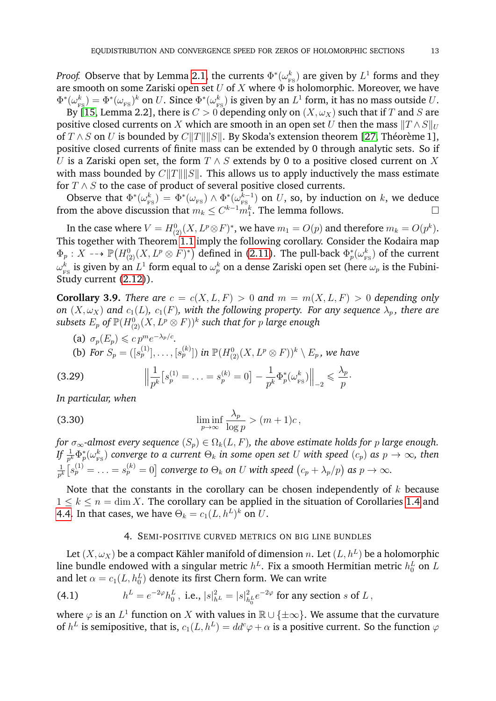*Proof.* Observe that by Lemma [2.1,](#page-5-1) the currents  $\Phi^*(\omega_\text{\tiny R}^k)$  $\frac{k}{\text{FS}}$ ) are given by  $L^1$  forms and they are smooth on some Zariski open set U of X where  $\Phi$  is holomorphic. Moreover, we have  $\Phi^*(\omega_{_{\rm I\!P}}^k$  $\chi^k_{_{\rm FS}})=\Phi^*(\omega_{_{\rm FS}})^k$  on  $U.$  Since  $\Phi^*(\omega_{_{\rm F}}^k)$  $_{\rm \scriptscriptstyle FS}^k)$  is given by an  $L^1$  form, it has no mass outside  $U.$ 

By [\[15,](#page-22-13) Lemma 2.2], there is  $C > 0$  depending only on  $(X, \omega_X)$  such that if T and S are positive closed currents on X which are smooth in an open set U then the mass  $||T \wedge S||_U$ of  $T \wedge S$  on U is bounded by  $C||T|| ||S||$ . By Skoda's extension theorem [\[27,](#page-22-14) Théorème 1], positive closed currents of finite mass can be extended by 0 through analytic sets. So if U is a Zariski open set, the form  $T \wedge S$  extends by 0 to a positive closed current on X with mass bounded by  $C||T|| ||S||$ . This allows us to apply inductively the mass estimate for  $T \wedge S$  to the case of product of several positive closed currents.

Observe that  $\Phi^*(\omega_{\mathrm{F}}^k)$  $\frac{k}{\text{FS}}$ ) =  $\Phi^*(\omega_{\text{FS}}) \wedge \Phi^*(\omega_{\text{FS}}^{k-1})$  $\binom{k-1}{\mathrm{FS}}$  on  $U$ , so, by induction on  $k$ , we deduce from the above discussion that  $m_k \leq C^{k-1} m_1^k$ . The lemma follows.

In the case where  $V=H_{(2)}^{0}(X, L^{p}\!\otimes\!F)^{*}$ , we have  $m_{1}=O(p)$  and therefore  $m_{k}=O(p^{k}).$ This together with Theorem [1.1](#page-1-0) imply the following corollary. Consider the Kodaira map  $\Phi_p: X \dashrightarrow \mathbb{P}(H^0_{(2)}(X, L^p \otimes F)^*)$  defined in [\(2.11\)](#page-5-2). The pull-back  $\Phi^*_p(\omega^k_{\text{F}})$  $\binom{k}{\text{FS}}$  of the current  $\omega_{_{\rm \scriptscriptstyle E}}^k$  $\frac{k}{\text{FS}}$  is given by an  $L^1$  form equal to  $\omega_p^k$  on a dense Zariski open set (here  $\omega_p$  is the Fubini-Study current [\(2.12\)](#page-5-3)).

<span id="page-12-2"></span>**Corollary 3.9.** *There are*  $c = c(X, L, F) > 0$  *and*  $m = m(X, L, F) > 0$  *depending only on*  $(X, \omega_X)$  *and*  $c_1(L)$ *,*  $c_1(F)$ *, with the following property. For any sequence*  $\lambda_p$ *, there are*  $subsets\; E_p \; of \; {\mathbb P}(H_{(2)}^{0}(X,L^p\otimes F))^k$  such that for  $p$  large enough

(a)  $\sigma_p(E_p) \leqslant c p^m e^{-\lambda_p/c}$ .

(b) For 
$$
S_p = ([s_p^{(1)}], \ldots, [s_p^{(k)}])
$$
 in  $\mathbb{P}(H_{(2)}^0(X, L^p \otimes F))^k \setminus E_p$ , we have

(3.29) 
$$
\left\| \frac{1}{p^k} \left[ s_p^{(1)} = \ldots = s_p^{(k)} = 0 \right] - \frac{1}{p^k} \Phi_p^*(\omega_{\text{FS}}^k) \right\|_{-2} \leq \frac{\lambda_p}{p}.
$$

*In particular, when*

(3.30) 
$$
\liminf_{p \to \infty} \frac{\lambda_p}{\log p} > (m+1)c,
$$

*for*  $\sigma_{\infty}$ -almost every sequence  $(S_p) \in \Omega_k(L, F)$ , the above estimate holds for p large enough.  $\iint \frac{1}{p^k} \Phi_p^*(\omega_{\rm F}^k)$  $_{\text{\tiny FS}}^{k}$ ) converge to a current  $\Theta_k$  in some open set  $U$  with speed  $(c_p)$  as  $p\rightarrow\infty$ , then 1  $\frac{1}{p^k}\big[s_p^{(1)}=\ldots=s_p^{(k)}=0\big]$  converge to  $\Theta_k$  on  $U$  with speed  $\big(c_p+\lambda_p/p\big)$  as  $p\to\infty.$ 

Note that the constants in the corollary can be chosen independently of  $k$  because  $1 \leq k \leq n = \dim X$ . The corollary can be applied in the situation of Corollaries [1.4](#page-3-2) and [4.4.](#page-17-0) In that cases, we have  $\Theta_k = c_1(L, h^L)^k$  on  $U$ .

#### <span id="page-12-1"></span>4. SEMI-POSITIVE CURVED METRICS ON BIG LINE BUNDLES

<span id="page-12-0"></span>Let  $(X,\omega_X)$  be a compact Kähler manifold of dimension  $n.$  Let  $(L,h^L)$  be a holomorphic line bundle endowed with a singular metric  $h^L$ . Fix a smooth Hermitian metric  $h^L_0$  on  $L$ and let  $\alpha = c_1(L, h_0^L)$  denote its first Chern form. We can write

(4.1) 
$$
h^{L} = e^{-2\varphi} h_{0}^{L}, \text{ i.e., } |s|_{h^{L}}^{2} = |s|_{h_{0}^{L}}^{2} e^{-2\varphi} \text{ for any section } s \text{ of } L,
$$

where  $\varphi$  is an  $L^1$  function on  $X$  with values in  $\mathbb{R} \cup \{\pm \infty\}.$  We assume that the curvature of  $h^L$  is semipositive, that is,  $c_1(L, h^L) = dd^c \varphi + \alpha$  is a positive current. So the function  $\varphi$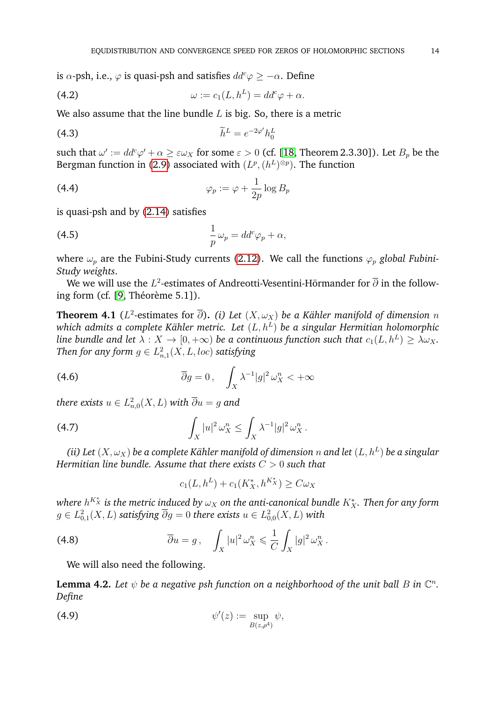is  $\alpha$ -psh, i.e.,  $\varphi$  is quasi-psh and satisfies  $dd^c \varphi \geq -\alpha$ . Define

<span id="page-13-4"></span>(4.2) 
$$
\omega := c_1(L, h^L) = dd^c \varphi + \alpha.
$$

We also assume that the line bundle  $L$  is big. So, there is a metric

<span id="page-13-3"></span>
$$
\widetilde{h}^L = e^{-2\varphi'} h_0^L
$$

such that  $\omega' := dd^c \varphi' + \alpha \geq \varepsilon \omega_X$  for some  $\varepsilon > 0$  (cf. [\[18,](#page-22-9) Theorem 2.3.30]). Let  $B_p$  be the Bergman function in [\(2.9\)](#page-4-3) associated with  $(L^p, (h^L)^{\otimes p})$ . The function

<span id="page-13-0"></span>(4.4) 
$$
\varphi_p := \varphi + \frac{1}{2p} \log B_p
$$

is quasi-psh and by [\(2.14\)](#page-5-4) satisfies

<span id="page-13-5"></span>(4.5) 
$$
\frac{1}{p}\omega_p = dd^c\varphi_p + \alpha,
$$

where  $\omega_p$  are the Fubini-Study currents [\(2.12\)](#page-5-3). We call the functions  $\varphi_p$  *global Fubini*-*Study weights*.

We we will use the  $L^2$ -estimates of Andreotti-Vesentini-Hörmander for  $\overline{\partial}$  in the following form (cf.  $[9,$  Théorème 5.1]).

<span id="page-13-2"></span>**Theorem 4.1** ( $L^2$ -estimates for  $\overline{\partial}$ ). (i) Let  $(X,\omega_X)$  be a Kähler manifold of dimension  $n$ which admits a complete Kähler metric. Let  $(L,h^L)$  be a singular Hermitian holomorphic line bundle and let  $\lambda:X\to [0,+\infty)$  be a continuous function such that  $c_1(L,h^L)\geq \lambda\omega_X.$ Then for any form  $g\in L^2_{n,1}(X,L,loc)$  satisfying

(4.6) 
$$
\overline{\partial}g = 0, \quad \int_X \lambda^{-1} |g|^2 \,\omega_X^n < +\infty
$$

there exists  $u\in L^2_{n,0}(X,L)$  with  $\overline{\partial} u=g$  and

$$
\int_X |u|^2 \,\omega_X^n \le \int_X \lambda^{-1} |g|^2 \,\omega_X^n \,.
$$

(ii) Let  $(X,\omega_X)$  be a complete Kähler manifold of dimension  $n$  and let  $(L,h^L)$  be a singular *Hermitian line bundle. Assume that there exists* C > 0 *such that*

$$
c_1(L, h^L) + c_1(K_X^*, h^{K_X^*}) \ge C \omega_X
$$

where  $h^{K_{X}^{\ast}}$  is the metric induced by  $\omega_{X}$  on the anti-canonical bundle  $K_{X}^{\ast}.$  Then for any form  $g\in L^2_{0,1}(X,L)$  satisfying  $\overline{\partial} g=0$  there exists  $u\in L^2_{0,0}(X,L)$  with

(4.8) 
$$
\overline{\partial}u = g, \quad \int_X |u|^2 \,\omega_X^n \leq \frac{1}{C} \int_X |g|^2 \,\omega_X^n.
$$

We will also need the following.

<span id="page-13-1"></span>**Lemma 4.2.** Let  $\psi$  be a negative psh function on a neighborhood of the unit ball  $B$  in  $\mathbb{C}^n$ . *Define*

$$
\psi'(z) := \sup_{B(z,\rho^4)} \psi,
$$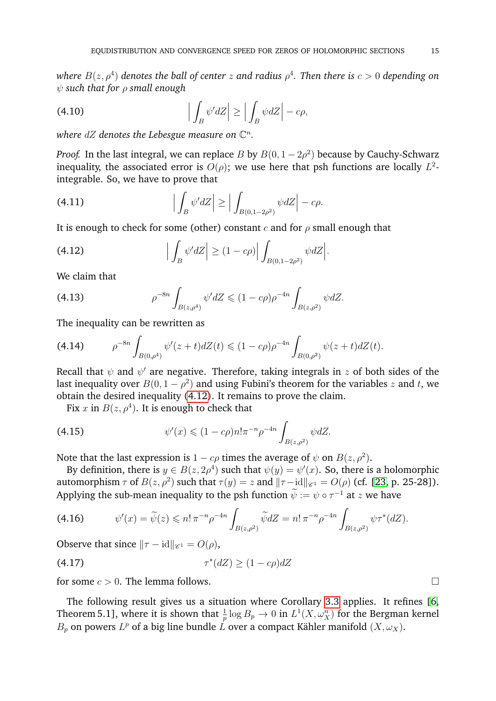where  $B(z,\rho^4)$  denotes the ball of center  $z$  and radius  $\rho^4.$  Then there is  $c>0$  depending on ψ *such that for* ρ *small enough*

(4.10) 
$$
\left| \int_B \psi' dZ \right| \ge \left| \int_B \psi dZ \right| - c\rho,
$$

where  $dZ$  denotes the Lebesgue measure on  $\mathbb{C}^n$ .

*Proof.* In the last integral, we can replace B by  $B(0, 1-2\rho^2)$  because by Cauchy-Schwarz inequality, the associated error is  $O(\rho)$ ; we use here that psh functions are locally  $L^2$ integrable. So, we have to prove that

(4.11) 
$$
\left| \int_B \psi' dZ \right| \ge \left| \int_{B(0,1-2\rho^2)} \psi dZ \right| - c\rho.
$$

It is enough to check for some (other) constant c and for  $\rho$  small enough that

<span id="page-14-0"></span>(4.12) 
$$
\left| \int_B \psi' dZ \right| \ge (1 - c\rho) \left| \int_{B(0, 1 - 2\rho^2)} \psi dZ \right|.
$$

We claim that

(4.13) 
$$
\rho^{-8n} \int_{B(z,\rho^4)} \psi' dZ \leq (1-c\rho) \rho^{-4n} \int_{B(z,\rho^2)} \psi dZ.
$$

The inequality can be rewritten as

$$
(4.14) \qquad \rho^{-8n} \int_{B(0,\rho^4)} \psi'(z+t) dZ(t) \leq (1-c\rho) \rho^{-4n} \int_{B(0,\rho^2)} \psi(z+t) dZ(t).
$$

Recall that  $\psi$  and  $\psi'$  are negative. Therefore, taking integrals in  $z$  of both sides of the last inequality over  $B(0, 1 - \rho^2)$  and using Fubini's theorem for the variables  $z$  and  $t$ , we obtain the desired inequality [\(4.12\)](#page-14-0). It remains to prove the claim.

Fix x in  $B(z, \rho^4)$ . It is enough to check that

(4.15) 
$$
\psi'(x) \leq (1 - c\rho)n! \pi^{-n} \rho^{-4n} \int_{B(z,\rho^2)} \psi dZ.
$$

Note that the last expression is  $1 - c\rho$  times the average of  $\psi$  on  $B(z, \rho^2)$ .

By definition, there is  $y \in B(z, 2\rho^4)$  such that  $\psi(y) = \psi'(x)$ . So, there is a holomorphic automorphism  $\tau$  of  $B(z, \rho^2)$  such that  $\tau(y) = z$  and  $\|\tau - \mathrm{id}\|_{\mathscr{C}^1} = O(\rho)$  (cf. [\[23,](#page-22-16) p. 25-28]). Applying the sub-mean inequality to the psh function  $\widetilde{\psi} := \psi \circ \tau^{-1}$  at  $z$  we have

$$
(4.16) \t \psi'(x) = \widetilde{\psi}(z) \leqslant n! \, \pi^{-n} \rho^{-4n} \int_{B(z,\rho^2)} \widetilde{\psi} dZ = n! \, \pi^{-n} \rho^{-4n} \int_{B(z,\rho^2)} \psi \tau^*(dZ).
$$

Observe that since  $\|\tau - id\|_{\mathscr{C}^1} = O(\rho)$ ,

$$
(4.17)\qquad \qquad \tau^*(dZ) \ge (1 - c\rho)dZ
$$

for some  $c > 0$ . The lemma follows.

The following result gives us a situation where Corollary [3.3](#page-7-5) applies. It refines [\[6,](#page-21-4) Theorem 5.1], where it is shown that  $\frac{1}{p} \log B_p \to 0$  in  $L^1(X,\omega_X^n)$  for the Bergman kernel  $B_p$  on powers  $L^p$  of a big line bundle  $\hat{L}$  over a compact Kähler manifold  $(X, \omega_X)$ .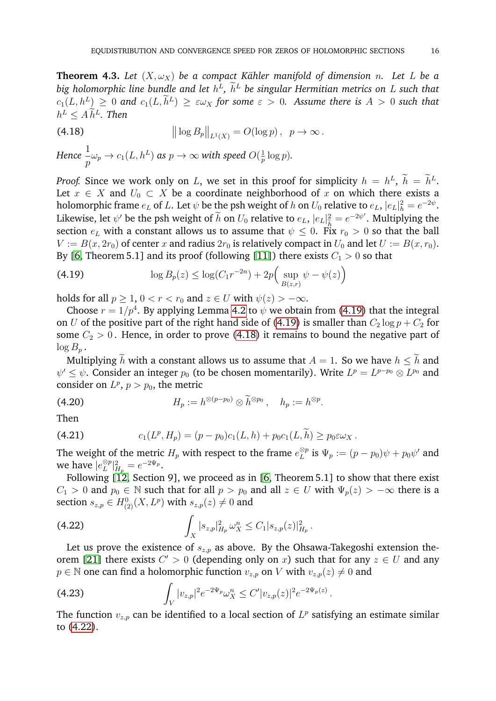<span id="page-15-5"></span>**Theorem 4.3.** Let  $(X, \omega_X)$  be a compact Kähler manifold of dimension *n*. Let L be a big holomorphic line bundle and let  $h^L$ ,  $h^L$  be singular Hermitian metrics on L such that  $c_1(L, h^L) \geq 0$  and  $c_1(L, h^L) \geq \varepsilon \omega_X$  for some  $\varepsilon > 0$ . Assume there is  $A > 0$  such that  $h^L \leq A h^L$ . Then

<span id="page-15-1"></span>(4.18) 
$$
\|\log B_p\|_{L^1(X)} = O(\log p), \ \ p \to \infty.
$$

Hence 
$$
\frac{1}{p}\omega_p \to c_1(L, h^L)
$$
 as  $p \to \infty$  with speed  $O(\frac{1}{p}\log p)$ .

*Proof.* Since we work only on L, we set in this proof for simplicity  $h = h^L$ ,  $h = h^L$ . Let  $x \in X$  and  $U_0 \subset X$  be a coordinate neighborhood of x on which there exists a holomorphic frame  $e_L$  of  $L.$  Let  $\psi$  be the psh weight of  $h$  on  $U_0$  relative to  $e_L,$   $|e_L|^2_h = e^{-2\psi}.$ Likewise, let  $\psi'$  be the psh weight of  $\widetilde{h}$  on  $U_0$  relative to  $e_L$ ,  $|e_L|^2_{\widetilde{h}} = e^{-2\psi'}$ . Multiplying the end the  $e_L$  with a constant allows us to assume that  $\psi \leq 0$ . Fix  $r_0 > 0$  so that the ball  $V := B(x, 2r_0)$  of center x and radius  $2r_0$  is relatively compact in  $U_0$  and let  $U := B(x, r_0)$ . By [\[6,](#page-21-4) Theorem 5.1] and its proof (following [\[11\]](#page-22-17)) there exists  $C_1 > 0$  so that

<span id="page-15-0"></span>(4.19) 
$$
\log B_p(z) \leq \log(C_1 r^{-2n}) + 2p \Big( \sup_{B(z,r)} \psi - \psi(z) \Big)
$$

holds for all  $p > 1$ ,  $0 < r < r_0$  and  $z \in U$  with  $\psi(z) > -\infty$ .

Choose  $r = 1/p^4$ . By applying Lemma [4.2](#page-13-1) to  $\psi$  we obtain from [\(4.19\)](#page-15-0) that the integral on U of the positive part of the right hand side of [\(4.19\)](#page-15-0) is smaller than  $C_2 \log p + C_2$  for some  $C_2 > 0$ . Hence, in order to prove [\(4.18\)](#page-15-1) it remains to bound the negative part of  $\log B_p$ .

Multiplying  $\widetilde{h}$  with a constant allows us to assume that  $A = 1$ . So we have  $h \leq \widetilde{h}$  and  $\psi' \leq \psi$ . Consider an integer  $p_0$  (to be chosen momentarily). Write  $L^p = L^{p-p_0} \otimes L^{p_0}$  and consider on  $L^p$ ,  $p > p_0$ , the metric

<span id="page-15-4"></span>(4.20) 
$$
H_p := h^{\otimes (p-p_0)} \otimes \widetilde{h}^{\otimes p_0}, \quad h_p := h^{\otimes p}.
$$

Then

(4.21) 
$$
c_1(L^p, H_p) = (p - p_0)c_1(L, h) + p_0c_1(L, \widetilde{h}) \geq p_0 \varepsilon \omega_X.
$$

The weight of the metric  $H_p$  with respect to the frame  $e_L^{\otimes p}$  $\stackrel{\otimes p}{_L}$  is  $\Psi_p := (p-p_0)\psi + p_0\psi'$  and we have  $|e_L^{\otimes p}$  $\frac{\otimes p}{L}|_{H_p}^2 = e^{-2\Psi_p}.$ 

Following [\[12,](#page-22-18) Section 9], we proceed as in [\[6,](#page-21-4) Theorem 5.1] to show that there exist  $C_1 > 0$  and  $p_0 \in \mathbb{N}$  such that for all  $p > p_0$  and all  $z \in U$  with  $\Psi_p(z) > -\infty$  there is a section  $s_{z,p} \in H^0_{(2)}(X, L^p)$  with  $s_{z,p}(z) \neq 0$  and

<span id="page-15-2"></span>(4.22) 
$$
\int_X |s_{z,p}|_{H_p}^2 \omega_X^n \leq C_1 |s_{z,p}(z)|_{H_p}^2.
$$

Let us prove the existence of  $s_{z,p}$  as above. By the Ohsawa-Takegoshi extension the-orem [\[21\]](#page-22-19) there exists  $C' > 0$  (depending only on x) such that for any  $z \in U$  and any  $p \in \mathbb{N}$  one can find a holomorphic function  $v_{z,p}$  on V with  $v_{z,p}(z) \neq 0$  and

<span id="page-15-3"></span>(4.23) 
$$
\int_{V} |v_{z,p}|^{2} e^{-2\Psi_{p}} \omega_{X}^{n} \leq C' |v_{z,p}(z)|^{2} e^{-2\Psi_{p}(z)}.
$$

The function  $v_{z,p}$  can be identified to a local section of  $L^p$  satisfying an estimate similar to [\(4.22\)](#page-15-2).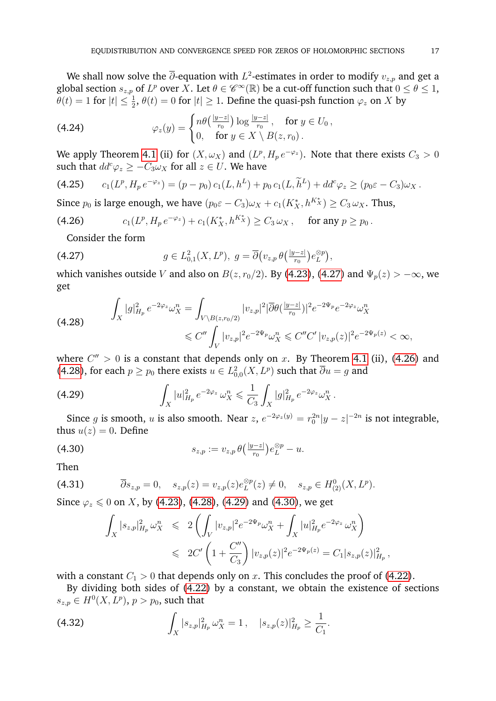We shall now solve the  $\overline{\partial}$ -equation with  $L^2$ -estimates in order to modify  $v_{z,p}$  and get a global section  $s_{z,p}$  of  $L^p$  over  $X$ . Let  $\theta \in \mathscr{C}^{\infty}(\mathbb{R})$  be a cut-off function such that  $0 \leq \theta \leq 1$ ,  $\theta(t) = 1$  for  $|t| \leq \frac{1}{2}$ ,  $\theta(t) = 0$  for  $|t| \geq 1$ . Define the quasi-psh function  $\varphi_z$  on X by

(4.24) 
$$
\varphi_z(y) = \begin{cases} n\theta\left(\frac{|y-z|}{r_0}\right) \log \frac{|y-z|}{r_0}, & \text{for } y \in U_0, \\ 0, & \text{for } y \in X \setminus B(z,r_0). \end{cases}
$$

We apply Theorem [4.1](#page-13-2) (ii) for  $(X, \omega_X)$  and  $(L^p, H_p e^{-\varphi_z})$ . Note that there exists  $C_3 > 0$ such that  $dd^c \varphi_z \geq -C_3 \omega_x$  for all  $z \in U$ . We have

$$
(4.25) \t c_1(L^p, H_p e^{-\varphi_z}) = (p - p_0) c_1(L, h^L) + p_0 c_1(L, \tilde{h}^L) + dd^c \varphi_z \ge (p_0 \varepsilon - C_3) \omega_X.
$$

Since  $p_0$  is large enough, we have  $(p_0 \varepsilon - C_3)\omega_X + c_1(K_X^*, h^{K_X^*}) \ge C_3 \omega_X$ . Thus,

<span id="page-16-1"></span>(4.26) 
$$
c_1(L^p, H_p e^{-\varphi_z}) + c_1(K_X^*, h^{K_X^*}) \geq C_3 \omega_X, \text{ for any } p \geq p_0.
$$

Consider the form

<span id="page-16-0"></span>(4.27) 
$$
g \in L^2_{0,1}(X,L^p), \ g = \overline{\partial} (v_{z,p} \theta(\frac{|y-z|}{r_0}) e_L^{\otimes p}),
$$

which vanishes outside V and also on  $B(z, r_0/2)$ . By [\(4.23\)](#page-15-3), [\(4.27\)](#page-16-0) and  $\Psi_p(z) > -\infty$ , we get

<span id="page-16-2"></span>
$$
\int_X |g|_{H_p}^2 e^{-2\varphi_z} \omega_X^n = \int_{V \backslash B(z,r_0/2)} |v_{z,p}|^2 |\overline{\partial} \theta(\frac{|y-z|}{r_0})|^2 e^{-2\Psi_p} e^{-2\varphi_z} \omega_X^n
$$
\n
$$
\leq C'' \int_V |v_{z,p}|^2 e^{-2\Psi_p} \omega_X^n \leq C'' C' |v_{z,p}(z)|^2 e^{-2\Psi_p(z)} < \infty,
$$

where  $C'' > 0$  is a constant that depends only on x. By Theorem [4.1](#page-13-2) (ii), [\(4.26\)](#page-16-1) and [\(4.28\)](#page-16-2), for each  $p \ge p_0$  there exists  $u \in L^2_{0,0}(X,L^p)$  such that  $\overline{\partial} u = g$  and

<span id="page-16-3"></span>(4.29) 
$$
\int_X |u|_{H_p}^2 e^{-2\varphi_z} \omega_X^n \leq \frac{1}{C_3} \int_X |g|_{H_p}^2 e^{-2\varphi_z} \omega_X^n.
$$

Since g is smooth, u is also smooth. Near  $z$ ,  $e^{-2\varphi_z(y)} = r_0^{2n}|y - z|^{-2n}$  is not integrable, thus  $u(z) = 0$ . Define

<span id="page-16-4"></span>(4.30) 
$$
s_{z,p} := v_{z,p} \, \theta\left(\frac{|y-z|}{r_0}\right) e_L^{\otimes p} - u.
$$

Then

(4.31) 
$$
\overline{\partial}_{s_{z,p}} = 0, \quad s_{z,p}(z) = v_{z,p}(z)e_L^{\otimes p}(z) \neq 0, \quad s_{z,p} \in H^0_{(2)}(X, L^p).
$$

Since  $\varphi_z \leq 0$  on X, by [\(4.23\)](#page-15-3), [\(4.28\)](#page-16-2), [\(4.29\)](#page-16-3) and [\(4.30\)](#page-16-4), we get

$$
\int_X |s_{z,p}|_{H_p}^2 \omega_X^n \leq 2 \left( \int_V |v_{z,p}|^2 e^{-2\Psi_p} \omega_X^n + \int_X |u|_{H_p}^2 e^{-2\varphi_z} \omega_X^n \right) \leq 2C' \left( 1 + \frac{C''}{C_3} \right) |v_{z,p}(z)|^2 e^{-2\Psi_p(z)} = C_1 |s_{z,p}(z)|_{H_p}^2,
$$

with a constant  $C_1 > 0$  that depends only on x. This concludes the proof of [\(4.22\)](#page-15-2).

By dividing both sides of [\(4.22\)](#page-15-2) by a constant, we obtain the existence of sections  $s_{z,p} \in H^0(X, L^p)$ ,  $p > p_0$ , such that

<span id="page-16-5"></span>(4.32) 
$$
\int_X |s_{z,p}|_{H_p}^2 \omega_X^n = 1, \quad |s_{z,p}(z)|_{H_p}^2 \ge \frac{1}{C_1}.
$$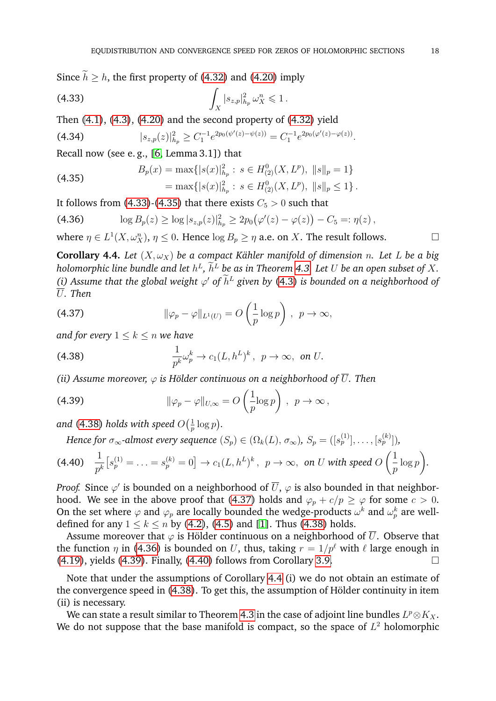Since  $\tilde{h} \geq h$ , the first property of [\(4.32\)](#page-16-5) and [\(4.20\)](#page-15-4) imply

<span id="page-17-1"></span>(4.33) 
$$
\int_X |s_{z,p}|_{h_p}^2 \omega_X^n \leq 1.
$$

Then  $(4.1)$ ,  $(4.3)$ ,  $(4.20)$  and the second property of  $(4.32)$  yield

$$
(4.34) \t\t\t |s_{z,p}(z)|_{h_p}^2 \geq C_1^{-1} e^{2p_0(\psi'(z) - \psi(z))} = C_1^{-1} e^{2p_0(\varphi'(z) - \varphi(z))}.
$$

Recall now (see e. g., [\[6,](#page-21-4) Lemma 3.1]) that

<span id="page-17-2"></span>(4.35) 
$$
B_p(x) = \max\{|s(x)|_{h_p}^2 : s \in H_{(2)}^0(X, L^p), \|s\|_p = 1\}
$$

$$
= \max\{|s(x)|_{h_p}^2 : s \in H_{(2)}^0(X, L^p), \|s\|_p \le 1\}.
$$

It follows from [\(4.33\)](#page-17-1)-[\(4.35\)](#page-17-2) that there exists  $C_5 > 0$  such that

<span id="page-17-5"></span>(4.36) 
$$
\log B_p(z) \geq \log |s_{z,p}(z)|_{h_p}^2 \geq 2p_0(\varphi'(z) - \varphi(z)) - C_5 =: \eta(z),
$$

where  $\eta \in L^1(X, \omega_X^n)$ ,  $\eta \leq 0$ . Hence  $\log B_p \geq \eta$  a.e. on X. The result follows.

<span id="page-17-0"></span>**Corollary 4.4.** *Let*  $(X, \omega_X)$  *be a compact Kähler manifold of dimension n. Let L be a big holomorphic line bundle and let*  $h^L$ ,  $h^L$  *be as in Theorem [4.3.](#page-15-5) Let U be an open subset of X.* (i) Assume that the global weight  $\varphi'$  of  $\tilde{h}^L$  given by [\(4.3\)](#page-13-3) is bounded on a neighborhood of U*. Then*

<span id="page-17-4"></span>(4.37) 
$$
\|\varphi_p - \varphi\|_{L^1(U)} = O\left(\frac{1}{p}\log p\right), \ \ p \to \infty,
$$

*and for every*  $1 \leq k \leq n$  *we have* 

<span id="page-17-3"></span>(4.38) 
$$
\frac{1}{p^k}\omega_p^k \to c_1(L, h^L)^k, \ p \to \infty, \text{ on } U.
$$

*(ii) Assume moreover,*  $\varphi$  *is Hölder continuous on a neighborhood of*  $\overline{U}$ *. Then* 

<span id="page-17-6"></span>(4.39) 
$$
\|\varphi_p - \varphi\|_{U,\infty} = O\left(\frac{1}{p}\log p\right), \ \ p \to \infty,
$$

and [\(4.38\)](#page-17-3) holds with speed  $O(\frac{1}{n})$  $rac{1}{p} \log p$ .

<span id="page-17-7"></span>*Hence for*  $\sigma_{\infty}$ *-almost every sequence*  $(S_p) \in (\Omega_k(L), \, \sigma_{\infty}), \, S_p = ([s_p^{(1)}], \ldots, [s_p^{(k)}]),$ 

$$
(4.40) \quad \frac{1}{p^k}\big[s_p^{(1)}=\ldots=s_p^{(k)}=0\big]\to c_1(L,h^L)^k\,,\ \ p\to\infty,\ \text{on}\ U\ \text{with speed}\ O\left(\frac{1}{p}\log p\right).
$$

*Proof.* Since  $\varphi'$  is bounded on a neighborhood of  $\overline{U},$   $\varphi$  is also bounded in that neighbor-hood. We see in the above proof that [\(4.37\)](#page-17-4) holds and  $\varphi_p + c/p \ge \varphi$  for some  $c > 0$ . On the set where  $\varphi$  and  $\varphi_p$  are locally bounded the wedge-products  $\omega^k$  and  $\omega_p^k$  are welldefined for any  $1 \le k \le n$  by [\(4.2\)](#page-13-4), [\(4.5\)](#page-13-5) and [\[1\]](#page-21-5). Thus [\(4.38\)](#page-17-3) holds.

Assume moreover that  $\varphi$  is Hölder continuous on a neighborhood of  $\overline{U}$ . Observe that the function  $\eta$  in [\(4.36\)](#page-17-5) is bounded on U, thus, taking  $r = 1/p^{\ell}$  with  $\ell$  large enough in  $(4.19)$ , yields  $(4.39)$ . Finally,  $(4.40)$  follows from Corollary [3.9.](#page-12-2)

Note that under the assumptions of Corollary [4.4](#page-17-0) (i) we do not obtain an estimate of the convergence speed in  $(4.38)$ . To get this, the assumption of Hölder continuity in item (ii) is necessary.

We can state a result similar to Theorem [4.3](#page-15-5) in the case of adjoint line bundles  $L^p\otimes K_X.$ We do not suppose that the base manifold is compact, so the space of  $L^2$  holomorphic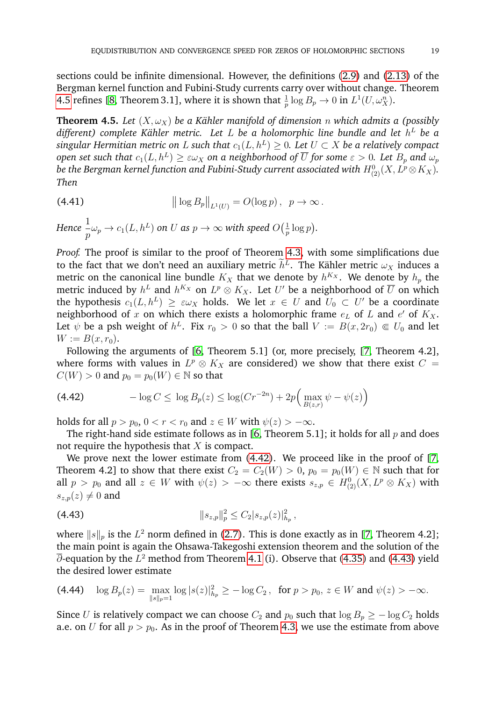sections could be infinite dimensional. However, the definitions [\(2.9\)](#page-4-3) and [\(2.13\)](#page-5-5) of the Bergman kernel function and Fubini-Study currents carry over without change. Theorem [4.5](#page-18-0) refines [\[8,](#page-22-20) Theorem 3.1], where it is shown that  $\frac{1}{p} \log B_p \to 0$  in  $L^1(U, \omega_X^n)$ .

<span id="page-18-0"></span>**Theorem 4.5.** *Let*  $(X, \omega_X)$  *be a Kähler manifold of dimension n which admits a (possibly*  $d$ ifferent) complete Kähler metric. Let  $L$  be a holomorphic line bundle and let  $h^L$  be a  $s$ ingular Hermitian metric on  $L$  such that  $c_1(L,h^L) \geq 0.$  Let  $U \subset X$  be a relatively compact  $\infty$  open set such that  $c_1(L,h^L)\geq\varepsilon\omega_X$  on a neighborhood of  $\overline{U}$  for some  $\varepsilon>0.$  Let  $B_p$  and  $\omega_p$ be the Bergman kernel function and Fubini-Study current associated with  $H^0_{(2)}(X, L^p\!\otimes\! K_X).$ *Then*

(4.41) 
$$
\left\| \log B_p \right\|_{L^1(U)} = O(\log p), \quad p \to \infty.
$$

Hence 
$$
\frac{1}{p}\omega_p \to c_1(L, h^L)
$$
 on  $U$  as  $p \to \infty$  with speed  $O(\frac{1}{p}\log p)$ .

*Proof.* The proof is similar to the proof of Theorem [4.3,](#page-15-5) with some simplifications due to the fact that we don't need an auxiliary metric  $h^L$ . The Kähler metric  $\omega_X$  induces a metric on the canonical line bundle  $K_X$  that we denote by  $h^{K_X}$ . We denote by  $h_p$  the metric induced by  $h^L$  and  $h^{K_X}$  on  $L^p\otimes K_X.$  Let  $U'$  be a neighborhood of  $\overline{U}$  on which the hypothesis  $c_1(L, h^L) \geq \varepsilon \omega_X$  holds. We let  $x \in U$  and  $U_0 \subset U'$  be a coordinate neighborhood of x on which there exists a holomorphic frame  $e_L$  of  $L$  and  $e'$  of  $K_X$ . Let  $\psi$  be a psh weight of  $h^L$ . Fix  $r_0 > 0$  so that the ball  $V := B(x, 2r_0) \Subset U_0$  and let  $W := B(x, r_0)$ .

Following the arguments of [\[6,](#page-21-4) Theorem 5.1] (or, more precisely, [\[7,](#page-21-7) Theorem 4.2], where forms with values in  $L^p\otimes K_X$  are considered) we show that there exist  $C=$  $C(W) > 0$  and  $p_0 = p_0(W) \in \mathbb{N}$  so that

<span id="page-18-1"></span>
$$
(4.42) \qquad \qquad -\log C \le \log B_p(z) \le \log(Cr^{-2n}) + 2p\Big(\max_{B(z,r)} \psi - \psi(z)\Big)
$$

holds for all  $p > p_0$ ,  $0 < r < r_0$  and  $z \in W$  with  $\psi(z) > -\infty$ .

The right-hand side estimate follows as in [\[6,](#page-21-4) Theorem 5.1]; it holds for all  $p$  and does not require the hypothesis that  $X$  is compact.

We prove next the lower estimate from [\(4.42\)](#page-18-1). We proceed like in the proof of [\[7,](#page-21-7) Theorem 4.2] to show that there exist  $C_2 = C_2(W) > 0$ ,  $p_0 = p_0(W) \in \mathbb{N}$  such that for all  $p > p_0$  and all  $z \in W$  with  $\psi(z) > -\infty$  there exists  $s_{z,p} \in H^0_{(2)}(X, L^p \otimes K_X)$  with  $s_{z,p}(z) \neq 0$  and

<span id="page-18-2"></span>
$$
||s_{z,p}||_p^2 \le C_2 |s_{z,p}(z)|_{h_p}^2,
$$

where  $\|s\|_p$  is the  $L^2$  norm defined in [\(2.7\)](#page-4-0). This is done exactly as in [\[7,](#page-21-7) Theorem 4.2]; the main point is again the Ohsawa-Takegoshi extension theorem and the solution of the  $\overline{\partial}$ -equation by the  $L^2$  method from Theorem [4.1](#page-13-2) (i). Observe that [\(4.35\)](#page-17-2) and [\(4.43\)](#page-18-2) yield the desired lower estimate

$$
\text{(4.44)} \quad \log B_p(z) = \max_{\|s\|_p = 1} \log |s(z)|_{h_p}^2 \geq -\log C_2 \,, \text{ for } p > p_0, \, z \in W \text{ and } \psi(z) > -\infty.
$$

Since U is relatively compact we can choose  $C_2$  and  $p_0$  such that  $\log B_p \ge -\log C_2$  holds a.e. on U for all  $p > p_0$ . As in the proof of Theorem [4.3,](#page-15-5) we use the estimate from above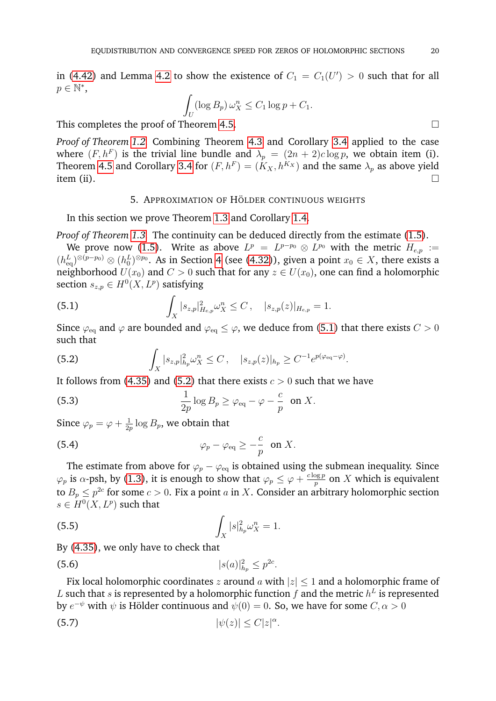in [\(4.42\)](#page-18-1) and Lemma [4.2](#page-13-1) to show the existence of  $C_1 = C_1(U') > 0$  such that for all  $p \in \mathbb{N}^*$ ,

$$
\int_U (\log B_p) \,\omega_X^n \le C_1 \log p + C_1.
$$

This completes the proof of Theorem [4.5.](#page-18-0)

*Proof of Theorem [1.2.](#page-2-1)* Combining Theorem [4.3](#page-15-5) and Corollary [3.4](#page-8-1) applied to the case where  $(F, h^F)$  is the trivial line bundle and  $\lambda_p = (2n + 2)c \log p$ , we obtain item (i). Theorem [4.5](#page-18-0) and Corollary [3.4](#page-8-1) for  $(F, h^F) = (K_X, h^{K_X})$  and the same  $\lambda_p$  as above yield item (ii).  $\Box$ 

## 5. APPROXIMATION OF HÖLDER CONTINUOUS WEIGHTS

<span id="page-19-0"></span>In this section we prove Theorem [1.3](#page-2-0) and Corollary [1.4.](#page-3-2)

*Proof of Theorem [1.3.](#page-2-0)* The continuity can be deduced directly from the estimate [\(1.5\)](#page-2-2).

We prove now [\(1.5\)](#page-2-2). Write as above  $L^p = L^{p-p_0} \otimes L^{p_0}$  with the metric  $H_{e,p} :=$  $(h_{\text{eq}}^L)^{\otimes (p-p_0)} \otimes (h_0^L)^{\otimes p_0}$ . As in Section [4](#page-12-0) (see [\(4.32\)](#page-16-5)), given a point  $x_0 \in X$ , there exists a neighborhood  $U(x_0)$  and  $C > 0$  such that for any  $z \in U(x_0)$ , one can find a holomorphic section  $s_{z,p} \in H^0(X,L^p)$  satisfying

<span id="page-19-1"></span>(5.1) 
$$
\int_X |s_{z,p}|^2_{H_{e,p}} \omega_X^n \leq C, \quad |s_{z,p}(z)|_{H_{e,p}} = 1.
$$

Since  $\varphi_{\text{eq}}$  and  $\varphi$  are bounded and  $\varphi_{\text{eq}} \leq \varphi$ , we deduce from [\(5.1\)](#page-19-1) that there exists  $C > 0$ such that

<span id="page-19-2"></span>(5.2) 
$$
\int_X |s_{z,p}|_{h_p}^2 \omega_X^n \leq C, \quad |s_{z,p}(z)|_{h_p} \geq C^{-1} e^{p(\varphi_{\text{eq}} - \varphi)}.
$$

It follows from [\(4.35\)](#page-17-2) and [\(5.2\)](#page-19-2) that there exists  $c > 0$  such that we have

(5.3) 
$$
\frac{1}{2p}\log B_p \geq \varphi_{\text{eq}} - \varphi - \frac{c}{p} \text{ on } X.
$$

Since  $\varphi_p = \varphi + \frac{1}{2n}$  $\frac{1}{2p} \log B_p$ , we obtain that

(5.4) 
$$
\varphi_p - \varphi_{\text{eq}} \geq -\frac{c}{p} \text{ on } X.
$$

The estimate from above for  $\varphi_p - \varphi_{\text{eq}}$  is obtained using the submean inequality. Since  $\varphi_p$  is  $\alpha$ -psh, by [\(1.3\)](#page-2-3), it is enough to show that  $\varphi_p \leq \varphi + \frac{c \log p}{n}$  $\frac{\log p}{p}$  on  $X$  which is equivalent to  $B_p \leq p^{2c}$  for some  $c > 0$ . Fix a point  $a$  in  $X$ . Consider an arbitrary holomorphic section  $s \in H^0(X, L^p)$  such that

$$
\int_X |s|^2_{h_p} \omega_X^n = 1.
$$

By [\(4.35\)](#page-17-2), we only have to check that

(5.6) 
$$
|s(a)|_{h_p}^2 \le p^{2c}.
$$

Fix local holomorphic coordinates z around a with  $|z| \leq 1$  and a holomorphic frame of L such that s is represented by a holomorphic function f and the metric  $h^L$  is represented by  $e^{-\psi}$  with  $\psi$  is Hölder continuous and  $\psi(0) = 0$ . So, we have for some  $C, \alpha > 0$ 

$$
|\psi(z)| \le C|z|^{\alpha}.
$$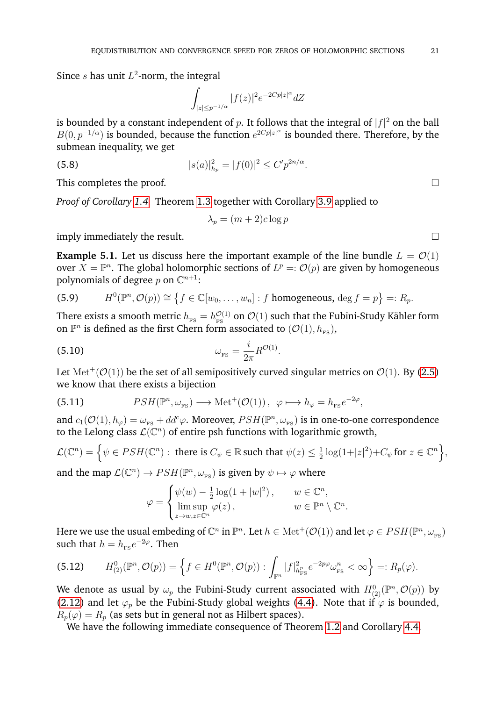Since  $s$  has unit  $L^2$ -norm, the integral

$$
\int_{|z| \le p^{-1/\alpha}} |f(z)|^2 e^{-2Cp|z|^\alpha} dZ
$$

is bounded by a constant independent of  $p$ . It follows that the integral of  $|f|^2$  on the ball  $B(0, p^{-1/\alpha})$  is bounded, because the function  $e^{2Cp|z|^\alpha}$  is bounded there. Therefore, by the submean inequality, we get

(5.8) 
$$
|s(a)|_{h_p}^2 = |f(0)|^2 \le C' p^{2n/\alpha}.
$$

This completes the proof.

*Proof of Corollary [1.4.](#page-3-2)* Theorem [1.3](#page-2-0) together with Corollary [3.9](#page-12-2) applied to

$$
\lambda_p = (m+2)c \log p
$$

imply immediately the result.

**Example 5.1.** Let us discuss here the important example of the line bundle  $L = \mathcal{O}(1)$ over  $X = \mathbb{P}^n$ . The global holomorphic sections of  $L^p = \mathcal{O}(p)$  are given by homogeneous polynomials of degree  $p$  on  $\mathbb{C}^{n+1}$ :

(5.9) 
$$
H^{0}(\mathbb{P}^{n}, \mathcal{O}(p)) \cong \{f \in \mathbb{C}[w_{0}, \ldots, w_{n}]: f \text{ homogeneous, } \deg f = p\} =: R_{p}.
$$

There exists a smooth metric  $h_{_{\rm FS}}=h^{\mathcal{O}(1)}_{_{\rm FS}}$  $\frac{\mathcal{O}(1)}{\text{FS}}$  on  $\mathcal{O}(1)$  such that the Fubini-Study Kähler form on  $\mathbb{P}^n$  is defined as the first Chern form associated to  $(\mathcal{O}(1), h_{\text{FS}})$ ,

$$
\omega_{\rm \scriptscriptstyle FS} = \frac{i}{2\pi} R^{\mathcal{O}(1)}.
$$

Let  ${\rm Met}^+({\cal O}(1))$  be the set of all semipositively curved singular metrics on  ${\cal O}(1)$ . By [\(2.5\)](#page-4-4) we know that there exists a bijection

(5.11) 
$$
PSH(\mathbb{P}^n, \omega_{\text{FS}}) \longrightarrow \text{Met}^+(\mathcal{O}(1)), \ \varphi \longmapsto h_{\varphi} = h_{\text{FS}}e^{-2\varphi},
$$

and  $c_1(\mathcal{O}(1), h_\varphi) = \omega_{\text{FS}} + dd^c \varphi$ . Moreover,  $PSH(\mathbb{P}^n, \omega_{\text{FS}})$  is in one-to-one correspondence to the Lelong class  $\mathcal{L}(\mathbb{C}^n)$  of entire psh functions with logarithmic growth,

$$
\mathcal{L}(\mathbb{C}^n) = \left\{ \psi \in PSH(\mathbb{C}^n) : \text{ there is } C_{\psi} \in \mathbb{R} \text{ such that } \psi(z) \leq \frac{1}{2} \log(1+|z|^2) + C_{\psi} \text{ for } z \in \mathbb{C}^n \right\},\
$$
and the man  $\mathcal{L}(\mathbb{C}^n) \to PSH(\mathbb{P}^n, \psi)$  is given by  $\psi \mapsto \varphi$  where

and the map  $\mathcal{L}(\mathbb{C}^n) \to PSH(\mathbb{P}^n, \omega_{FS})$  is given by  $\psi \mapsto \varphi$  where

$$
\varphi = \begin{cases} \psi(w) - \frac{1}{2} \log(1 + |w|^2), & w \in \mathbb{C}^n, \\ \limsup_{z \to w, z \in \mathbb{C}^n} \varphi(z), & w \in \mathbb{P}^n \setminus \mathbb{C}^n. \end{cases}
$$

Here we use the usual embeding of  $\mathbb C^n$  in  $\mathbb P^n.$  Let  $h\in\mathrm{Met}^+(\mathcal O(1))$  and let  $\varphi\in PSH(\mathbb P^n,\omega_{_{\mathrm{FS}}})$ such that  $h = h_{\text{\tiny FS}} e^{-2\varphi}$ . Then

$$
(5.12) \tH_{(2)}^0(\mathbb{P}^n, \mathcal{O}(p)) = \left\{ f \in H^0(\mathbb{P}^n, \mathcal{O}(p)) : \int_{\mathbb{P}^n} |f|_{h_{\text{FS}}^p}^2 e^{-2p\varphi} \omega_{\text{FS}}^n < \infty \right\} =: R_p(\varphi).
$$

We denote as usual by  $\omega_p$  the Fubini-Study current associated with  $H^0_{(2)}(\mathbb P^n,{\mathcal{O}}(p))$  by [\(2.12\)](#page-5-3) and let  $\varphi_p$  be the Fubini-Study global weights [\(4.4\)](#page-13-0). Note that if  $\varphi$  is bounded,  $R_p(\varphi) = R_p$  (as sets but in general not as Hilbert spaces).

We have the following immediate consequence of Theorem [1.2](#page-2-1) and Corollary [4.4.](#page-17-0)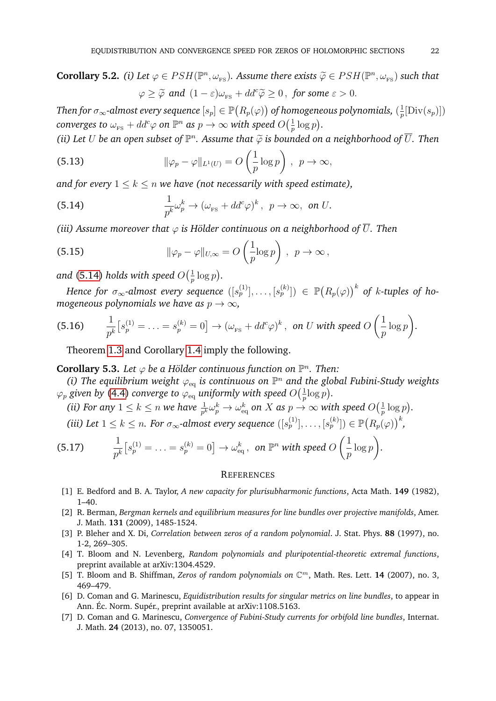**Corollary 5.2.** *(i)* Let  $\varphi \in PSH(\mathbb{P}^n, \omega_{\text{FS}})$ . Assume there exists  $\widetilde{\varphi} \in PSH(\mathbb{P}^n, \omega_{\text{FS}})$  such that  $\varphi \geq \widetilde{\varphi}$  and  $(1 - \varepsilon)\omega_{\text{FS}} + dd^c \widetilde{\varphi} \geq 0$ , for some  $\varepsilon > 0$ .

Then for  $\sigma_{\infty}$ -almost every sequence  $[s_p] \in \mathbb{P}(R_p(\varphi))$  of homogeneous polynomials,  $(\frac{1}{n})$  $\frac{1}{p}$ [Div $(s_p)$ ])  $\emph{converges to $\omega_{_{\text{FS}}}+dd^c\varphi$ on $\mathbb{P}^n$ as $p\to\infty$ with speed $O\big(\frac{1}{p}\big)$}.$  $rac{1}{p} \log p$ .

(*ii*) Let  $U$  be an open subset of  $\mathbb{P}^n$ . Assume that  $\widetilde{\varphi}$  is bounded on a neighborhood of  $\overline{U}$ . Then

(5.13) 
$$
\|\varphi_p - \varphi\|_{L^1(U)} = O\left(\frac{1}{p}\log p\right), \ \ p \to \infty,
$$

*and for every*  $1 \leq k \leq n$  *we have (not necessarily with speed estimate),* 

<span id="page-21-8"></span>(5.14) 
$$
\frac{1}{p^k}\omega_p^k \to (\omega_{\text{FS}} + dd^c \varphi)^k, \ \ p \to \infty, \ \text{on } U.
$$

*(iii) Assume moreover that*  $\varphi$  *is Hölder continuous on a neighborhood of*  $\overline{U}$ *. Then* 

(5.15) 
$$
\|\varphi_p - \varphi\|_{U,\infty} = O\left(\frac{1}{p}\log p\right), \ \ p \to \infty,
$$

and [\(5.14\)](#page-21-8) holds with speed  $O(\frac{1}{n})$  $\frac{1}{p} \log p$ .

 $H$ ence for  $\sigma_\infty$ -almost every sequence  $([s^{(1)}_p], \ldots, [s^{(k)}_p])~\in~\mathbb{P}\bigl(R_p(\varphi)\bigr)^k$  of  $k$ -tuples of ho*mogeneous polynomials we have as*  $p \to \infty$ *,* 

(5.16) 
$$
\frac{1}{p^k}[s_p^{(1)} = \ldots = s_p^{(k)} = 0] \rightarrow (\omega_{\text{FS}} + dd^c \varphi)^k, \text{ on } U \text{ with speed } O\left(\frac{1}{p}\log p\right).
$$

Theorem [1.3](#page-2-0) and Corollary [1.4](#page-3-2) imply the following.

# **Corollary 5.3.** Let  $\varphi$  be a Hölder continuous function on  $\mathbb{P}^n$ . Then:

(i) The equilibrium weight  $\varphi_{\text{eq}}$  is continuous on  $\mathbb{P}^n$  and the global Fubini-Study weights  $\varphi_p$  given by [\(4.4\)](#page-13-0) converge to  $\varphi_\mathrm{eq}$  uniformly with speed  $O(\frac{1}{n})$  $rac{1}{p}$ log p).

(ii) For any 
$$
1 \le k \le n
$$
 we have  $\frac{1}{p^k} \omega_p^k \to \omega_{\text{eq}}^k$  on X as  $p \to \infty$  with speed  $O(\frac{1}{p} \log p)$ .

*(iii)* Let  $1 \leq k \leq n$ . For  $\sigma_{\infty}$ -almost every sequence  $([s_p^{(1)}], \ldots, [s_p^{(k)}]) \in \mathbb{P}(R_p(\varphi))^k$ ,

(5.17) 
$$
\frac{1}{p^k} \big[ s_p^{(1)} = \ldots = s_p^{(k)} = 0 \big] \to \omega_{\text{eq}}^k, \text{ on } \mathbb{P}^n \text{ with speed } O\left(\frac{1}{p} \log p\right).
$$

#### <span id="page-21-0"></span>**REFERENCES**

- <span id="page-21-5"></span>[1] E. Bedford and B. A. Taylor, *A new capacity for plurisubharmonic functions*, Acta Math. **149** (1982),  $1 - 40.$
- <span id="page-21-6"></span>[2] R. Berman, *Bergman kernels and equilibrium measures for line bundles over projective manifolds*, Amer. J. Math. **131** (2009), 1485-1524.
- <span id="page-21-1"></span>[3] P. Bleher and X. Di, *Correlation between zeros of a random polynomial*. J. Stat. Phys. **88** (1997), no. 1-2, 269–305.
- <span id="page-21-2"></span>[4] T. Bloom and N. Levenberg, *Random polynomials and pluripotential-theoretic extremal functions*, preprint available at arXiv:1304.4529.
- <span id="page-21-3"></span>[5] T. Bloom and B. Shiffman, *Zeros of random polynomials on* C <sup>m</sup>, Math. Res. Lett. **14** (2007), no. 3, 469–479.
- <span id="page-21-4"></span>[6] D. Coman and G. Marinescu, *Equidistribution results for singular metrics on line bundles*, to appear in Ann. Éc. Norm. Supér., preprint available at arXiv:1108.5163.
- <span id="page-21-7"></span>[7] D. Coman and G. Marinescu, *Convergence of Fubini-Study currents for orbifold line bundles*, Internat. J. Math. **24** (2013), no. 07, 1350051.